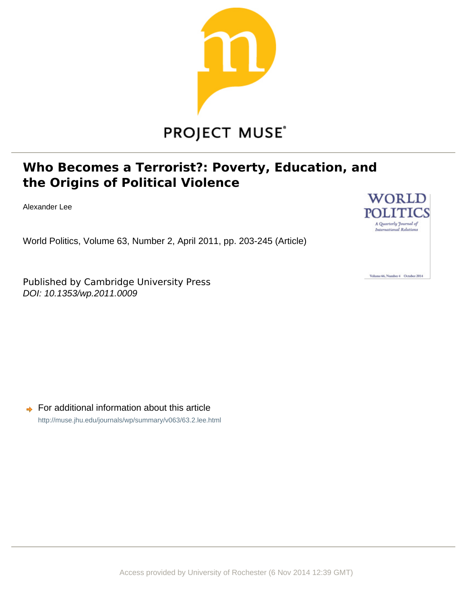

# Who Becomes a Terrorist?: Poverty, Education, and **the Origins of Political Violence**

Alexander Lee

World Politics, Volume 63, Number 2, April 2011, pp. 203-245 (Article)

Published by Cambridge University Press DOI: 10.1353/wp.2011.0009

**■** For additional information about this article <http://muse.jhu.edu/journals/wp/summary/v063/63.2.lee.html>



Volume 66, Number 4 October 2014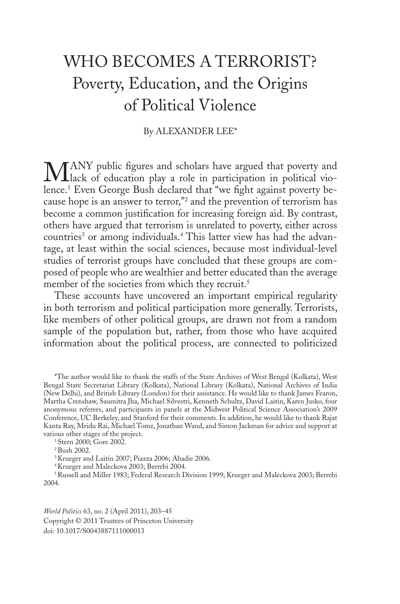# Who Becomes a Terrorist? Poverty, Education, and the Origins of Political Violence

### By Alexander Lee\*

**MANY** public figures and scholars have argued that poverty and lack of education play a role in participation in political violence.1 Even George Bush declared that "we fight against poverty because hope is an answer to terror,"2 and the prevention of terrorism has become a common justification for increasing foreign aid. By contrast, others have argued that terrorism is unrelated to poverty, either across countries<sup>3</sup> or among individuals.<sup>4</sup> This latter view has had the advantage, at least within the social sciences, because most individual-level studies of terrorist groups have concluded that these groups are composed of people who are wealthier and better educated than the average member of the societies from which they recruit.<sup>5</sup>

These accounts have uncovered an important empirical regularity in both terrorism and political participation more generally. Terrorists, like members of other political groups, are drawn not from a random sample of the population but, rather, from those who have acquired information about the political process, are connected to politicized

\*The author would like to thank the staffs of the State Archives of West Bengal (Kolkata), West Bengal State Secretariat Library (Kolkata), National Library (Kolkata), National Archives of India (New Delhi), and British Library (London) for their assistance. He would like to thank James Fearon, Martha Crenshaw, Saumitra Jha, Michael Silvestri, Kenneth Schultz, David Laitin, Karen Jusko, four anonymous referees, and participants in panels at the Midwest Political Science Association's 2009 Conference, UC Berkeley, and Stanford for their comments. In addition, he would like to thank Rajat Kanta Ray, Mridu Rai, Michael Tomz, Jonathan Wand, and Simon Jackman for advice and support at various other stages of the project.

1 Stern 2000; Gore 2002.

2 Bush 2002.

3 Krueger and Laitin 2007; Piazza 2006; Abadie 2006.

4 Krueger and Maleckova 2003; Berrebi 2004.

5 Russell and Miller 1983; Federal Research Division 1999; Krueger and Maleckova 2003; Berrebi 2004.

*World Politics* 63, no. 2 (April 2011), 203–45 Copyright © 2011 Trustees of Princeton University doi: 10.1017/S0043887111000013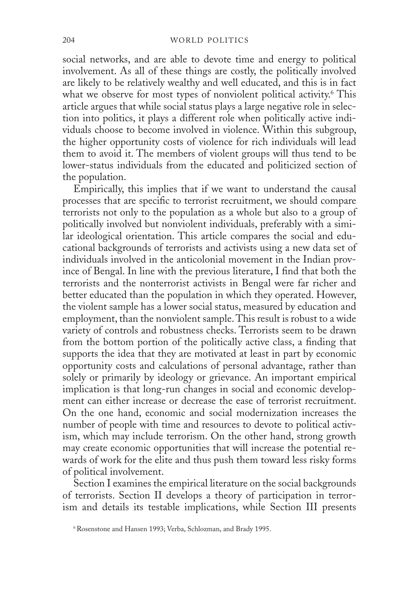social networks, and are able to devote time and energy to political involvement. As all of these things are costly, the politically involved are likely to be relatively wealthy and well educated, and this is in fact what we observe for most types of nonviolent political activity.<sup>6</sup> This article argues that while social status plays a large negative role in selection into politics, it plays a different role when politically active individuals choose to become involved in violence. Within this subgroup, the higher opportunity costs of violence for rich individuals will lead them to avoid it. The members of violent groups will thus tend to be lower-status individuals from the educated and politicized section of the population.

Empirically, this implies that if we want to understand the causal processes that are specific to terrorist recruitment, we should compare terrorists not only to the population as a whole but also to a group of politically involved but nonviolent individuals, preferably with a similar ideological orientation. This article compares the social and educational backgrounds of terrorists and activists using a new data set of individuals involved in the anticolonial movement in the Indian province of Bengal. In line with the previous literature, I find that both the terrorists and the nonterrorist activists in Bengal were far richer and better educated than the population in which they operated. However, the violent sample has a lower social status, measured by education and employment, than the nonviolent sample. This result is robust to a wide variety of controls and robustness checks. Terrorists seem to be drawn from the bottom portion of the politically active class, a finding that supports the idea that they are motivated at least in part by economic opportunity costs and calculations of personal advantage, rather than solely or primarily by ideology or grievance. An important empirical implication is that long-run changes in social and economic development can either increase or decrease the ease of terrorist recruitment. On the one hand, economic and social modernization increases the number of people with time and resources to devote to political activism, which may include terrorism. On the other hand, strong growth may create economic opportunities that will increase the potential rewards of work for the elite and thus push them toward less risky forms of political involvement.

Section I examines the empirical literature on the social backgrounds of terrorists. Section II develops a theory of participation in terrorism and details its testable implications, while Section III presents

<sup>6</sup> Rosenstone and Hansen 1993; Verba, Schlozman, and Brady 1995.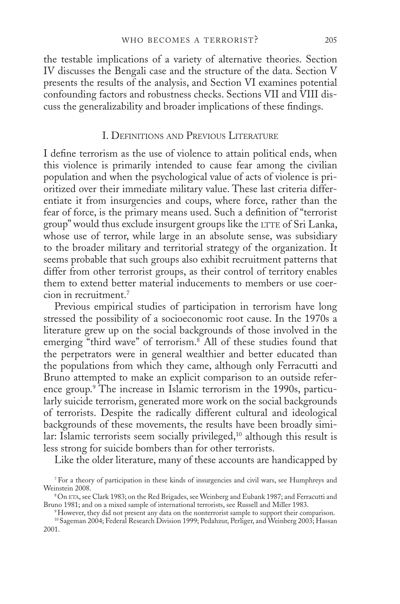the testable implications of a variety of alternative theories. Section IV discusses the Bengali case and the structure of the data. Section V presents the results of the analysis, and Section VI examines potential confounding factors and robustness checks. Sections VII and VIII discuss the generalizability and broader implications of these findings.

## I. Definitions and Previous Literature

I define terrorism as the use of violence to attain political ends, when this violence is primarily intended to cause fear among the civilian population and when the psychological value of acts of violence is prioritized over their immediate military value. These last criteria differentiate it from insurgencies and coups, where force, rather than the fear of force, is the primary means used. Such a definition of "terrorist group" would thus exclude insurgent groups like the LTTE of Sri Lanka, whose use of terror, while large in an absolute sense, was subsidiary to the broader military and territorial strategy of the organization. It seems probable that such groups also exhibit recruitment patterns that differ from other terrorist groups, as their control of territory enables them to extend better material inducements to members or use coercion in recruitment.7

Previous empirical studies of participation in terrorism have long stressed the possibility of a socioeconomic root cause. In the 1970s a literature grew up on the social backgrounds of those involved in the emerging "third wave" of terrorism.<sup>8</sup> All of these studies found that the perpetrators were in general wealthier and better educated than the populations from which they came, although only Ferracutti and Bruno attempted to make an explicit comparison to an outside reference group.9 The increase in Islamic terrorism in the 1990s, particularly suicide terrorism, generated more work on the social backgrounds of terrorists. Despite the radically different cultural and ideological backgrounds of these movements, the results have been broadly similar: Islamic terrorists seem socially privileged,<sup>10</sup> although this result is less strong for suicide bombers than for other terrorists.

Like the older literature, many of these accounts are handicapped by

<sup>7</sup> For a theory of participation in these kinds of insurgencies and civil wars, see Humphreys and Weinstein 2008.

<sup>&</sup>lt;sup>8</sup> On ETA, see Clark 1983; on the Red Brigades, see Weinberg and Eubank 1987; and Ferracutti and Bruno 1981; and on a mixed sample of international terrorists, see Russell and Miller 1983.

<sup>9</sup> However, they did not present any data on the nonterrorist sample to support their comparison. <sup>10</sup> Sageman 2004; Federal Research Division 1999; Pedahzur, Perliger, and Weinberg 2003; Hassan 2001.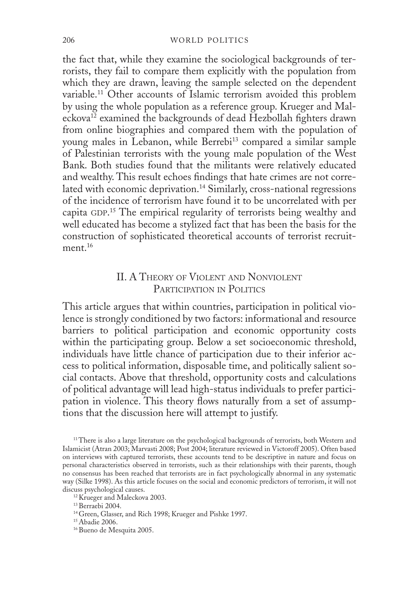#### 206 WORLD POLITICS

the fact that, while they examine the sociological backgrounds of terrorists, they fail to compare them explicitly with the population from which they are drawn, leaving the sample selected on the dependent variable.11 Other accounts of Islamic terrorism avoided this problem by using the whole population as a reference group. Krueger and Maleckova<sup>12</sup> examined the backgrounds of dead Hezbollah fighters drawn from online biographies and compared them with the population of young males in Lebanon, while Berrebi13 compared a similar sample of Palestinian terrorists with the young male population of the West Bank. Both studies found that the militants were relatively educated and wealthy. This result echoes findings that hate crimes are not correlated with economic deprivation.<sup>14</sup> Similarly, cross-national regressions of the incidence of terrorism have found it to be uncorrelated with per capita GDP.<sup>15</sup> The empirical regularity of terrorists being wealthy and well educated has become a stylized fact that has been the basis for the construction of sophisticated theoretical accounts of terrorist recruitment.<sup>16</sup>

# II. A Theory of Violent and Nonviolent Participation in Politics

This article argues that within countries, participation in political violence is strongly conditioned by two factors: informational and resource barriers to political participation and economic opportunity costs within the participating group. Below a set socioeconomic threshold, individuals have little chance of participation due to their inferior access to political information, disposable time, and politically salient social contacts. Above that threshold, opportunity costs and calculations of political advantage will lead high-status individuals to prefer participation in violence. This theory flows naturally from a set of assumptions that the discussion here will attempt to justify.

<sup>11</sup> There is also a large literature on the psychological backgrounds of terrorists, both Western and Islamicist (Atran 2003; Marvasti 2008; Post 2004; literature reviewed in Victoroff 2005). Often based on interviews with captured terrorists, these accounts tend to be descriptive in nature and focus on personal characteristics observed in terrorists, such as their relationships with their parents, though no consensus has been reached that terrorists are in fact psychologically abnormal in any systematic way (Silke 1998). As this article focuses on the social and economic predictors of terrorism, it will not discuss psychological causes.

15 Abadie 2006.

<sup>&</sup>lt;sup>12</sup> Krueger and Maleckova 2003.

<sup>13</sup> Berraebi 2004.

<sup>14</sup> Green, Glasser, and Rich 1998; Krueger and Pishke 1997.

<sup>16</sup> Bueno de Mesquita 2005.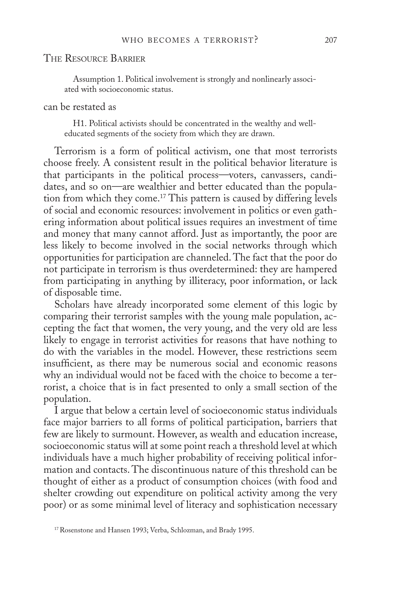## The Resource Barrier

Assumption 1. Political involvement is strongly and nonlinearly associated with socioeconomic status.

#### can be restated as

H1. Political activists should be concentrated in the wealthy and welleducated segments of the society from which they are drawn.

Terrorism is a form of political activism, one that most terrorists choose freely. A consistent result in the political behavior literature is that participants in the political process—voters, canvassers, candidates, and so on—are wealthier and better educated than the population from which they come.17 This pattern is caused by differing levels of social and economic resources: involvement in politics or even gathering information about political issues requires an investment of time and money that many cannot afford. Just as importantly, the poor are less likely to become involved in the social networks through which opportunities for participation are channeled. The fact that the poor do not participate in terrorism is thus overdetermined: they are hampered from participating in anything by illiteracy, poor information, or lack of disposable time.

Scholars have already incorporated some element of this logic by comparing their terrorist samples with the young male population, accepting the fact that women, the very young, and the very old are less likely to engage in terrorist activities for reasons that have nothing to do with the variables in the model. However, these restrictions seem insufficient, as there may be numerous social and economic reasons why an individual would not be faced with the choice to become a terrorist, a choice that is in fact presented to only a small section of the population.

I argue that below a certain level of socioeconomic status individuals face major barriers to all forms of political participation, barriers that few are likely to surmount. However, as wealth and education increase, socioeconomic status will at some point reach a threshold level at which individuals have a much higher probability of receiving political information and contacts. The discontinuous nature of this threshold can be thought of either as a product of consumption choices (with food and shelter crowding out expenditure on political activity among the very poor) or as some minimal level of literacy and sophistication necessary

<sup>17</sup> Rosenstone and Hansen 1993; Verba, Schlozman, and Brady 1995.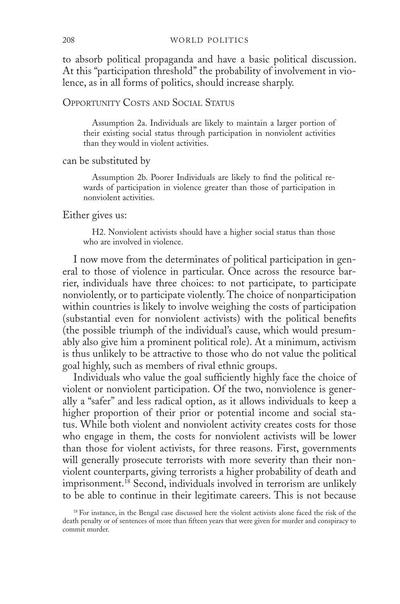to absorb political propaganda and have a basic political discussion. At this "participation threshold" the probability of involvement in violence, as in all forms of politics, should increase sharply.

## Opportunity Costs and Social Status

Assumption 2a. Individuals are likely to maintain a larger portion of their existing social status through participation in nonviolent activities than they would in violent activities.

#### can be substituted by

Assumption 2b. Poorer Individuals are likely to find the political rewards of participation in violence greater than those of participation in nonviolent activities.

#### Either gives us:

H2. Nonviolent activists should have a higher social status than those who are involved in violence.

I now move from the determinates of political participation in general to those of violence in particular. Once across the resource barrier, individuals have three choices: to not participate, to participate nonviolently, or to participate violently. The choice of nonparticipation within countries is likely to involve weighing the costs of participation (substantial even for nonviolent activists) with the political benefits (the possible triumph of the individual's cause, which would presumably also give him a prominent political role). At a minimum, activism is thus unlikely to be attractive to those who do not value the political goal highly, such as members of rival ethnic groups.

Individuals who value the goal sufficiently highly face the choice of violent or nonviolent participation. Of the two, nonviolence is generally a "safer" and less radical option, as it allows individuals to keep a higher proportion of their prior or potential income and social status. While both violent and nonviolent activity creates costs for those who engage in them, the costs for nonviolent activists will be lower than those for violent activists, for three reasons. First, governments will generally prosecute terrorists with more severity than their nonviolent counterparts, giving terrorists a higher probability of death and imprisonment.<sup>18</sup> Second, individuals involved in terrorism are unlikely to be able to continue in their legitimate careers. This is not because

<sup>18</sup> For instance, in the Bengal case discussed here the violent activists alone faced the risk of the death penalty or of sentences of more than fifteen years that were given for murder and conspiracy to commit murder.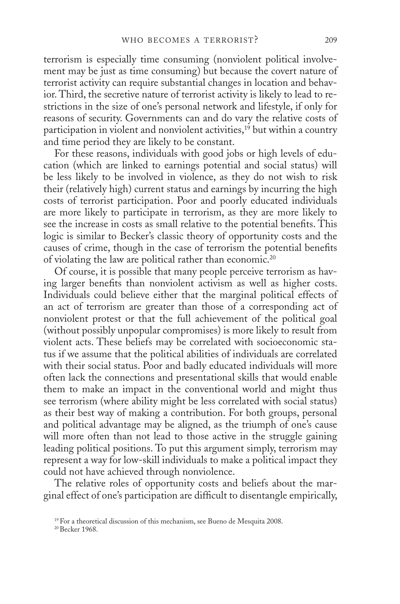terrorism is especially time consuming (nonviolent political involvement may be just as time consuming) but because the covert nature of terrorist activity can require substantial changes in location and behavior. Third, the secretive nature of terrorist activity is likely to lead to restrictions in the size of one's personal network and lifestyle, if only for reasons of security. Governments can and do vary the relative costs of participation in violent and nonviolent activities,<sup>19</sup> but within a country and time period they are likely to be constant.

For these reasons, individuals with good jobs or high levels of education (which are linked to earnings potential and social status) will be less likely to be involved in violence, as they do not wish to risk their (relatively high) current status and earnings by incurring the high costs of terrorist participation. Poor and poorly educated individuals are more likely to participate in terrorism, as they are more likely to see the increase in costs as small relative to the potential benefits. This logic is similar to Becker's classic theory of opportunity costs and the causes of crime, though in the case of terrorism the potential benefits of violating the law are political rather than economic.20

Of course, it is possible that many people perceive terrorism as having larger benefits than nonviolent activism as well as higher costs. Individuals could believe either that the marginal political effects of an act of terrorism are greater than those of a corresponding act of nonviolent protest or that the full achievement of the political goal (without possibly unpopular compromises) is more likely to result from violent acts. These beliefs may be correlated with socioeconomic status if we assume that the political abilities of individuals are correlated with their social status. Poor and badly educated individuals will more often lack the connections and presentational skills that would enable them to make an impact in the conventional world and might thus see terrorism (where ability might be less correlated with social status) as their best way of making a contribution. For both groups, personal and political advantage may be aligned, as the triumph of one's cause will more often than not lead to those active in the struggle gaining leading political positions. To put this argument simply, terrorism may represent a way for low-skill individuals to make a political impact they could not have achieved through nonviolence.

The relative roles of opportunity costs and beliefs about the marginal effect of one's participation are difficult to disentangle empirically,

<sup>&</sup>lt;sup>19</sup> For a theoretical discussion of this mechanism, see Bueno de Mesquita 2008.

<sup>&</sup>lt;sup>20</sup> Becker 1968.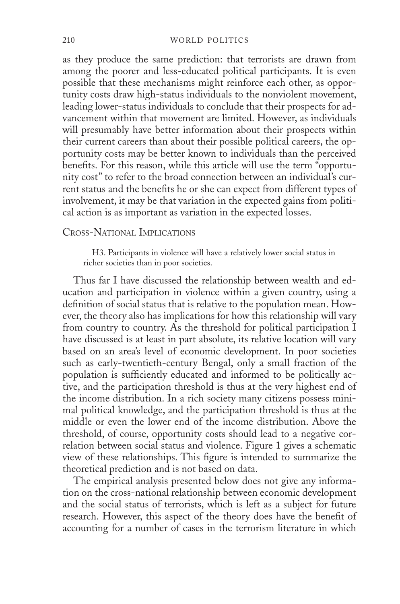as they produce the same prediction: that terrorists are drawn from among the poorer and less-educated political participants. It is even possible that these mechanisms might reinforce each other, as opportunity costs draw high-status individuals to the nonviolent movement, leading lower-status individuals to conclude that their prospects for advancement within that movement are limited. However, as individuals will presumably have better information about their prospects within their current careers than about their possible political careers, the opportunity costs may be better known to individuals than the perceived benefits. For this reason, while this article will use the term "opportunity cost" to refer to the broad connection between an individual's current status and the benefits he or she can expect from different types of involvement, it may be that variation in the expected gains from political action is as important as variation in the expected losses.

#### Cross-National Implications

H3. Participants in violence will have a relatively lower social status in richer societies than in poor societies.

Thus far I have discussed the relationship between wealth and education and participation in violence within a given country, using a definition of social status that is relative to the population mean. However, the theory also has implications for how this relationship will vary from country to country. As the threshold for political participation I have discussed is at least in part absolute, its relative location will vary based on an area's level of economic development. In poor societies such as early-twentieth-century Bengal, only a small fraction of the population is sufficiently educated and informed to be politically active, and the participation threshold is thus at the very highest end of the income distribution. In a rich society many citizens possess minimal political knowledge, and the participation threshold is thus at the middle or even the lower end of the income distribution. Above the threshold, of course, opportunity costs should lead to a negative correlation between social status and violence. Figure 1 gives a schematic view of these relationships. This figure is intended to summarize the theoretical prediction and is not based on data.

The empirical analysis presented below does not give any information on the cross-national relationship between economic development and the social status of terrorists, which is left as a subject for future research. However, this aspect of the theory does have the benefit of accounting for a number of cases in the terrorism literature in which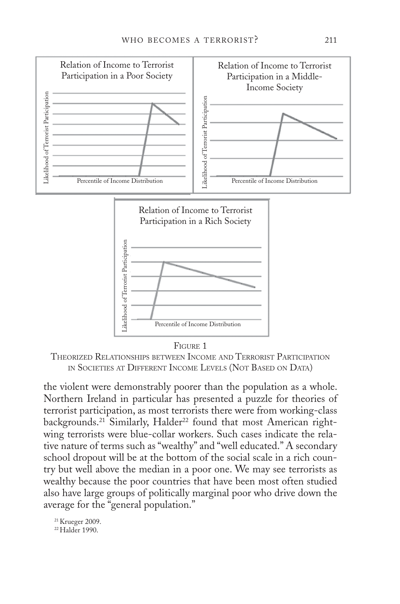

Theorized Relationships between Income and Terrorist Participation in Societies at Different Income Levels (Not Based on Data)

the violent were demonstrably poorer than the population as a whole. Northern Ireland in particular has presented a puzzle for theories of terrorist participation, as most terrorists there were from working-class backgrounds.<sup>21</sup> Similarly, Halder<sup>22</sup> found that most American rightwing terrorists were blue-collar workers. Such cases indicate the relative nature of terms such as "wealthy" and "well educated." A secondary school dropout will be at the bottom of the social scale in a rich country but well above the median in a poor one. We may see terrorists as wealthy because the poor countries that have been most often studied also have large groups of politically marginal poor who drive down the average for the "general population."

21 Krueger 2009.  $^{22}$  Halder 1990.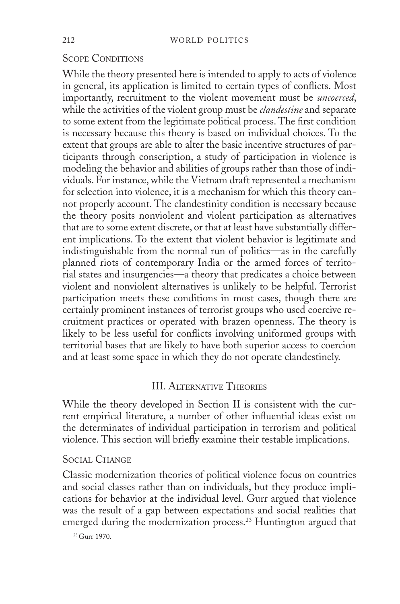## SCOPE CONDITIONS

While the theory presented here is intended to apply to acts of violence in general, its application is limited to certain types of conflicts. Most importantly, recruitment to the violent movement must be *uncoerced*, while the activities of the violent group must be *clandestine* and separate to some extent from the legitimate political process. The first condition is necessary because this theory is based on individual choices. To the extent that groups are able to alter the basic incentive structures of participants through conscription, a study of participation in violence is modeling the behavior and abilities of groups rather than those of individuals. For instance, while the Vietnam draft represented a mechanism for selection into violence, it is a mechanism for which this theory cannot properly account. The clandestinity condition is necessary because the theory posits nonviolent and violent participation as alternatives that are to some extent discrete, or that at least have substantially different implications. To the extent that violent behavior is legitimate and indistinguishable from the normal run of politics—as in the carefully planned riots of contemporary India or the armed forces of territorial states and insurgencies—a theory that predicates a choice between violent and nonviolent alternatives is unlikely to be helpful. Terrorist participation meets these conditions in most cases, though there are certainly prominent instances of terrorist groups who used coercive recruitment practices or operated with brazen openness. The theory is likely to be less useful for conflicts involving uniformed groups with territorial bases that are likely to have both superior access to coercion and at least some space in which they do not operate clandestinely.

## III. Alternative Theories

While the theory developed in Section II is consistent with the current empirical literature, a number of other influential ideas exist on the determinates of individual participation in terrorism and political violence. This section will briefly examine their testable implications.

# SOCIAL CHANGE

Classic modernization theories of political violence focus on countries and social classes rather than on individuals, but they produce implications for behavior at the individual level. Gurr argued that violence was the result of a gap between expectations and social realities that emerged during the modernization process.<sup>23</sup> Huntington argued that

23 Gurr 1970.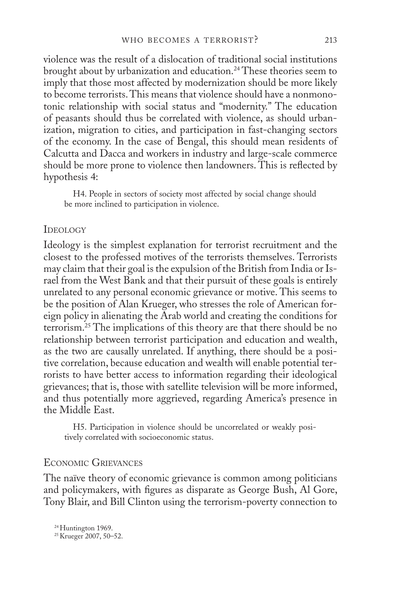violence was the result of a dislocation of traditional social institutions brought about by urbanization and education.<sup>24</sup> These theories seem to imply that those most affected by modernization should be more likely to become terrorists. This means that violence should have a nonmonotonic relationship with social status and "modernity." The education of peasants should thus be correlated with violence, as should urbanization, migration to cities, and participation in fast-changing sectors of the economy. In the case of Bengal, this should mean residents of Calcutta and Dacca and workers in industry and large-scale commerce should be more prone to violence then landowners. This is reflected by hypothesis 4:

H4. People in sectors of society most affected by social change should be more inclined to participation in violence.

#### IDEOLOGY

Ideology is the simplest explanation for terrorist recruitment and the closest to the professed motives of the terrorists themselves. Terrorists may claim that their goal is the expulsion of the British from India or Israel from the West Bank and that their pursuit of these goals is entirely unrelated to any personal economic grievance or motive. This seems to be the position of Alan Krueger, who stresses the role of American foreign policy in alienating the Arab world and creating the conditions for terrorism.25 The implications of this theory are that there should be no relationship between terrorist participation and education and wealth, as the two are causally unrelated. If anything, there should be a positive correlation, because education and wealth will enable potential terrorists to have better access to information regarding their ideological grievances; that is, those with satellite television will be more informed, and thus potentially more aggrieved, regarding America's presence in the Middle East.

H5. Participation in violence should be uncorrelated or weakly positively correlated with socioeconomic status.

## Economic Grievances

The naïve theory of economic grievance is common among politicians and policymakers, with figures as disparate as George Bush, Al Gore, Tony Blair, and Bill Clinton using the terrorism-poverty connection to

<sup>24</sup> Huntington 1969.

<sup>25</sup> Krueger 2007, 50-52.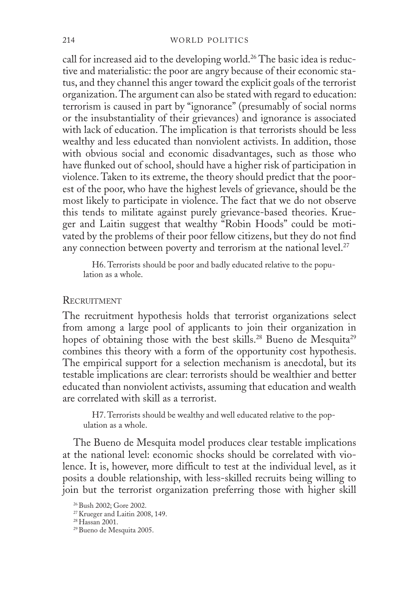call for increased aid to the developing world.<sup>26</sup> The basic idea is reductive and materialistic: the poor are angry because of their economic status, and they channel this anger toward the explicit goals of the terrorist organization. The argument can also be stated with regard to education: terrorism is caused in part by "ignorance" (presumably of social norms or the insubstantiality of their grievances) and ignorance is associated with lack of education. The implication is that terrorists should be less wealthy and less educated than nonviolent activists. In addition, those with obvious social and economic disadvantages, such as those who have flunked out of school, should have a higher risk of participation in violence. Taken to its extreme, the theory should predict that the poorest of the poor, who have the highest levels of grievance, should be the most likely to participate in violence. The fact that we do not observe this tends to militate against purely grievance-based theories. Krueger and Laitin suggest that wealthy "Robin Hoods" could be motivated by the problems of their poor fellow citizens, but they do not find any connection between poverty and terrorism at the national level.<sup>27</sup>

H6. Terrorists should be poor and badly educated relative to the population as a whole.

## **RECRUITMENT**

The recruitment hypothesis holds that terrorist organizations select from among a large pool of applicants to join their organization in hopes of obtaining those with the best skills.<sup>28</sup> Bueno de Mesquita<sup>29</sup> combines this theory with a form of the opportunity cost hypothesis. The empirical support for a selection mechanism is anecdotal, but its testable implications are clear: terrorists should be wealthier and better educated than nonviolent activists, assuming that education and wealth are correlated with skill as a terrorist.

H7. Terrorists should be wealthy and well educated relative to the population as a whole.

The Bueno de Mesquita model produces clear testable implications at the national level: economic shocks should be correlated with violence. It is, however, more difficult to test at the individual level, as it posits a double relationship, with less-skilled recruits being willing to join but the terrorist organization preferring those with higher skill

<sup>26</sup> Bush 2002; Gore 2002.

 $^{27}$  Krueger and Laitin 2008, 149.<br> $^{28}$  Hassan 2001.

<sup>&</sup>lt;sup>29</sup> Bueno de Mesquita 2005.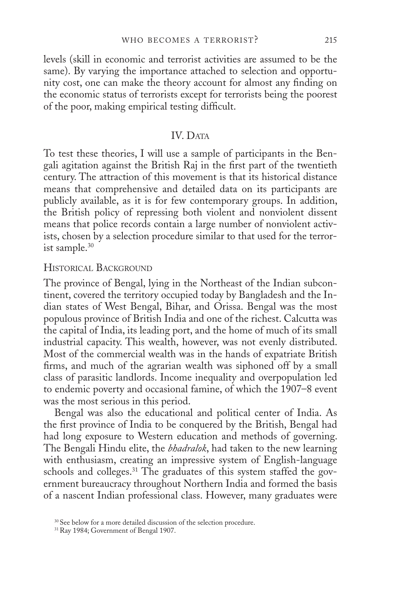levels (skill in economic and terrorist activities are assumed to be the same). By varying the importance attached to selection and opportunity cost, one can make the theory account for almost any finding on the economic status of terrorists except for terrorists being the poorest of the poor, making empirical testing difficult.

## **IV.** DATA

To test these theories, I will use a sample of participants in the Bengali agitation against the British Raj in the first part of the twentieth century. The attraction of this movement is that its historical distance means that comprehensive and detailed data on its participants are publicly available, as it is for few contemporary groups. In addition, the British policy of repressing both violent and nonviolent dissent means that police records contain a large number of nonviolent activists, chosen by a selection procedure similar to that used for the terrorist sample.<sup>30</sup>

#### HISTORICAL BACKGROUND

The province of Bengal, lying in the Northeast of the Indian subcontinent, covered the territory occupied today by Bangladesh and the Indian states of West Bengal, Bihar, and Orissa. Bengal was the most populous province of British India and one of the richest. Calcutta was the capital of India, its leading port, and the home of much of its small industrial capacity. This wealth, however, was not evenly distributed. Most of the commercial wealth was in the hands of expatriate British firms, and much of the agrarian wealth was siphoned off by a small class of parasitic landlords. Income inequality and overpopulation led to endemic poverty and occasional famine, of which the 1907–8 event was the most serious in this period.

Bengal was also the educational and political center of India. As the first province of India to be conquered by the British, Bengal had had long exposure to Western education and methods of governing. The Bengali Hindu elite, the *bhadralok*, had taken to the new learning with enthusiasm, creating an impressive system of English-language schools and colleges.31 The graduates of this system staffed the government bureaucracy throughout Northern India and formed the basis of a nascent Indian professional class. However, many graduates were

<sup>&</sup>lt;sup>30</sup> See below for a more detailed discussion of the selection procedure.

<sup>&</sup>lt;sup>31</sup> Ray 1984; Government of Bengal 1907.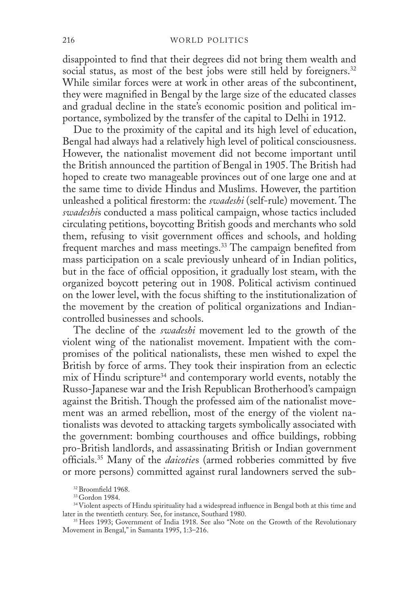disappointed to find that their degrees did not bring them wealth and social status, as most of the best jobs were still held by foreigners.<sup>32</sup> While similar forces were at work in other areas of the subcontinent, they were magnified in Bengal by the large size of the educated classes and gradual decline in the state's economic position and political importance, symbolized by the transfer of the capital to Delhi in 1912.

Due to the proximity of the capital and its high level of education, Bengal had always had a relatively high level of political consciousness. However, the nationalist movement did not become important until the British announced the partition of Bengal in 1905. The British had hoped to create two manageable provinces out of one large one and at the same time to divide Hindus and Muslims. However, the partition unleashed a political firestorm: the *swadeshi* (self-rule) movement. The *swadeshi*s conducted a mass political campaign, whose tactics included circulating petitions, boycotting British goods and merchants who sold them, refusing to visit government offices and schools, and holding frequent marches and mass meetings.<sup>33</sup> The campaign benefited from mass participation on a scale previously unheard of in Indian politics, but in the face of official opposition, it gradually lost steam, with the organized boycott petering out in 1908. Political activism continued on the lower level, with the focus shifting to the institutionalization of the movement by the creation of political organizations and Indiancontrolled businesses and schools.

The decline of the *swadeshi* movement led to the growth of the violent wing of the nationalist movement. Impatient with the compromises of the political nationalists, these men wished to expel the British by force of arms. They took their inspiration from an eclectic mix of Hindu scripture<sup>34</sup> and contemporary world events, notably the Russo-Japanese war and the Irish Republican Brotherhood's campaign against the British. Though the professed aim of the nationalist movement was an armed rebellion, most of the energy of the violent nationalists was devoted to attacking targets symbolically associated with the government: bombing courthouses and office buildings, robbing pro-British landlords, and assassinating British or Indian government officials.35 Many of the *daicotie*s (armed robberies committed by five or more persons) committed against rural landowners served the sub-

<sup>&</sup>lt;sup>32</sup> Broomfield 1968.

<sup>33</sup> Gordon 1984.

<sup>&</sup>lt;sup>34</sup> Violent aspects of Hindu spirituality had a widespread influence in Bengal both at this time and later in the twentieth century. See, for instance, Southard 1980.

<sup>&</sup>lt;sup>35</sup> Hees 1993; Government of India 1918. See also "Note on the Growth of the Revolutionary Movement in Bengal," in Samanta 1995, 1:3–216.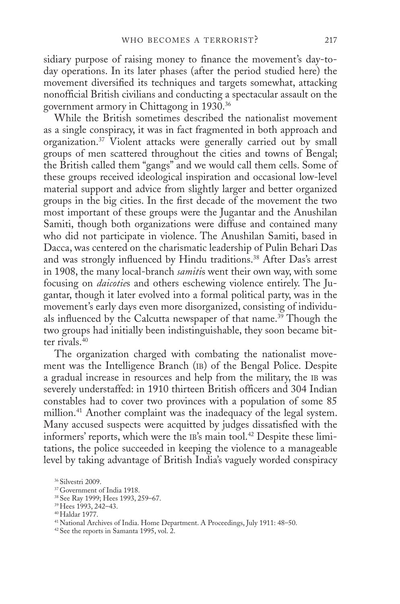sidiary purpose of raising money to finance the movement's day-today operations. In its later phases (after the period studied here) the movement diversified its techniques and targets somewhat, attacking nonofficial British civilians and conducting a spectacular assault on the government armory in Chittagong in 1930.36

While the British sometimes described the nationalist movement as a single conspiracy, it was in fact fragmented in both approach and organization.37 Violent attacks were generally carried out by small groups of men scattered throughout the cities and towns of Bengal; the British called them "gangs" and we would call them cells. Some of these groups received ideological inspiration and occasional low-level material support and advice from slightly larger and better organized groups in the big cities. In the first decade of the movement the two most important of these groups were the Jugantar and the Anushilan Samiti, though both organizations were diffuse and contained many who did not participate in violence. The Anushilan Samiti, based in Dacca, was centered on the charismatic leadership of Pulin Behari Das and was strongly influenced by Hindu traditions.<sup>38</sup> After Das's arrest in 1908, the many local-branch *samiti*s went their own way, with some focusing on *daicotie*s and others eschewing violence entirely. The Jugantar, though it later evolved into a formal political party, was in the movement's early days even more disorganized, consisting of individuals influenced by the Calcutta newspaper of that name.<sup>39</sup> Though the two groups had initially been indistinguishable, they soon became bitter rivals.40

The organization charged with combating the nationalist movement was the Intelligence Branch (ib) of the Bengal Police. Despite a gradual increase in resources and help from the military, the IB was severely understaffed: in 1910 thirteen British officers and 304 Indian constables had to cover two provinces with a population of some 85 million.41 Another complaint was the inadequacy of the legal system. Many accused suspects were acquitted by judges dissatisfied with the informers' reports, which were the ib's main tool.42 Despite these limitations, the police succeeded in keeping the violence to a manageable level by taking advantage of British India's vaguely worded conspiracy

<sup>36</sup> Silvestri 2009.

<sup>&</sup>lt;sup>37</sup> Government of India 1918.

<sup>38</sup> See Ray 1999; Hees 1993, 259–67.

<sup>39</sup> Hees 1993, 242–43.

<sup>40</sup> Haldar 1977.

<sup>41</sup> National Archives of India. Home Department. A Proceedings, July 1911: 48–50.

<sup>42</sup> See the reports in Samanta 1995, vol. 2.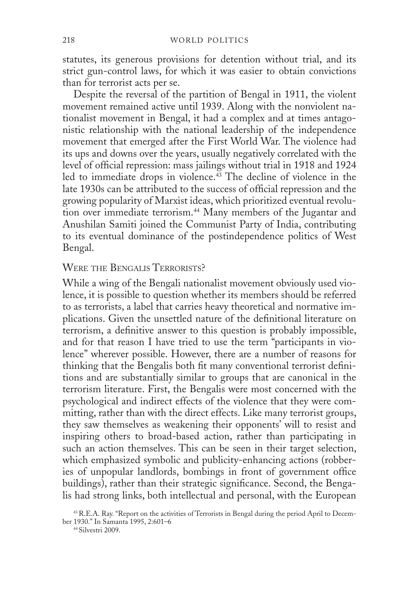statutes, its generous provisions for detention without trial, and its strict gun-control laws, for which it was easier to obtain convictions than for terrorist acts per se.

Despite the reversal of the partition of Bengal in 1911, the violent movement remained active until 1939. Along with the nonviolent nationalist movement in Bengal, it had a complex and at times antagonistic relationship with the national leadership of the independence movement that emerged after the First World War. The violence had its ups and downs over the years, usually negatively correlated with the level of official repression: mass jailings without trial in 1918 and 1924 led to immediate drops in violence.<sup>43</sup> The decline of violence in the late 1930s can be attributed to the success of official repression and the growing popularity of Marxist ideas, which prioritized eventual revolution over immediate terrorism.<sup>44</sup> Many members of the Jugantar and Anushilan Samiti joined the Communist Party of India, contributing to its eventual dominance of the postindependence politics of West Bengal.

#### WERE THE BENGALIS TERRORISTS?

While a wing of the Bengali nationalist movement obviously used violence, it is possible to question whether its members should be referred to as terrorists, a label that carries heavy theoretical and normative implications. Given the unsettled nature of the definitional literature on terrorism, a definitive answer to this question is probably impossible, and for that reason I have tried to use the term "participants in violence" wherever possible. However, there are a number of reasons for thinking that the Bengalis both fit many conventional terrorist definitions and are substantially similar to groups that are canonical in the terrorism literature. First, the Bengalis were most concerned with the psychological and indirect effects of the violence that they were committing, rather than with the direct effects. Like many terrorist groups, they saw themselves as weakening their opponents' will to resist and inspiring others to broad-based action, rather than participating in such an action themselves. This can be seen in their target selection, which emphasized symbolic and publicity-enhancing actions (robberies of unpopular landlords, bombings in front of government office buildings), rather than their strategic significance. Second, the Bengalis had strong links, both intellectual and personal, with the European

<sup>43</sup> R.E.A. Ray. "Report on the activities of Terrorists in Bengal during the period April to December 1930." In Samanta 1995, 2:601–6

<sup>44</sup> Silvestri 2009.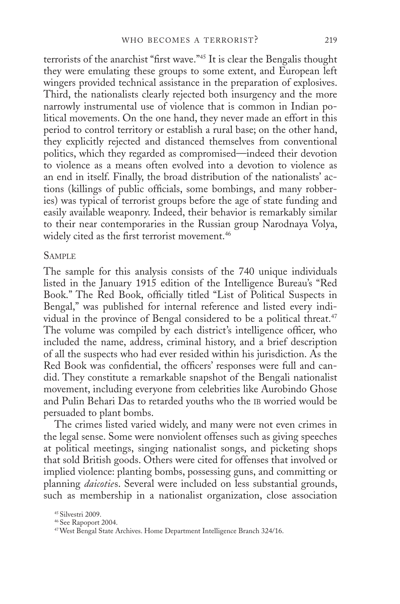terrorists of the anarchist "first wave."45 It is clear the Bengalis thought they were emulating these groups to some extent, and European left wingers provided technical assistance in the preparation of explosives. Third, the nationalists clearly rejected both insurgency and the more narrowly instrumental use of violence that is common in Indian political movements. On the one hand, they never made an effort in this period to control territory or establish a rural base; on the other hand, they explicitly rejected and distanced themselves from conventional politics, which they regarded as compromised—indeed their devotion to violence as a means often evolved into a devotion to violence as an end in itself. Finally, the broad distribution of the nationalists' actions (killings of public officials, some bombings, and many robberies) was typical of terrorist groups before the age of state funding and easily available weaponry. Indeed, their behavior is remarkably similar to their near contemporaries in the Russian group Narodnaya Volya, widely cited as the first terrorist movement.<sup>46</sup>

#### **SAMPLE**

The sample for this analysis consists of the 740 unique individuals listed in the January 1915 edition of the Intelligence Bureau's "Red Book." The Red Book, officially titled "List of Political Suspects in Bengal," was published for internal reference and listed every individual in the province of Bengal considered to be a political threat.<sup>47</sup> The volume was compiled by each district's intelligence officer, who included the name, address, criminal history, and a brief description of all the suspects who had ever resided within his jurisdiction. As the Red Book was confidential, the officers' responses were full and candid. They constitute a remarkable snapshot of the Bengali nationalist movement, including everyone from celebrities like Aurobindo Ghose and Pulin Behari Das to retarded youths who the IB worried would be persuaded to plant bombs.

The crimes listed varied widely, and many were not even crimes in the legal sense. Some were nonviolent offenses such as giving speeches at political meetings, singing nationalist songs, and picketing shops that sold British goods. Others were cited for offenses that involved or implied violence: planting bombs, possessing guns, and committing or planning *daicotie*s. Several were included on less substantial grounds, such as membership in a nationalist organization, close association

<sup>45</sup> Silvestri 2009.

<sup>46</sup> See Rapoport 2004.

<sup>47</sup> West Bengal State Archives. Home Department Intelligence Branch 324/16.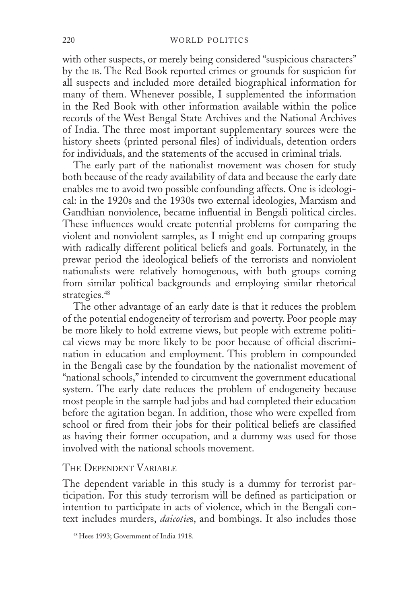#### 220 WORLD POLITICS

with other suspects, or merely being considered "suspicious characters" by the IB. The Red Book reported crimes or grounds for suspicion for all suspects and included more detailed biographical information for many of them. Whenever possible, I supplemented the information in the Red Book with other information available within the police records of the West Bengal State Archives and the National Archives of India. The three most important supplementary sources were the history sheets (printed personal files) of individuals, detention orders for individuals, and the statements of the accused in criminal trials.

The early part of the nationalist movement was chosen for study both because of the ready availability of data and because the early date enables me to avoid two possible confounding affects. One is ideological: in the 1920s and the 1930s two external ideologies, Marxism and Gandhian nonviolence, became influential in Bengali political circles. These influences would create potential problems for comparing the violent and nonviolent samples, as I might end up comparing groups with radically different political beliefs and goals. Fortunately, in the prewar period the ideological beliefs of the terrorists and nonviolent nationalists were relatively homogenous, with both groups coming from similar political backgrounds and employing similar rhetorical strategies.<sup>48</sup>

The other advantage of an early date is that it reduces the problem of the potential endogeneity of terrorism and poverty. Poor people may be more likely to hold extreme views, but people with extreme political views may be more likely to be poor because of official discrimination in education and employment. This problem in compounded in the Bengali case by the foundation by the nationalist movement of "national schools," intended to circumvent the government educational system. The early date reduces the problem of endogeneity because most people in the sample had jobs and had completed their education before the agitation began. In addition, those who were expelled from school or fired from their jobs for their political beliefs are classified as having their former occupation, and a dummy was used for those involved with the national schools movement.

## The Dependent Variable

The dependent variable in this study is a dummy for terrorist participation. For this study terrorism will be defined as participation or intention to participate in acts of violence, which in the Bengali context includes murders, *daicotie*s, and bombings. It also includes those

<sup>48</sup> Hees 1993; Government of India 1918.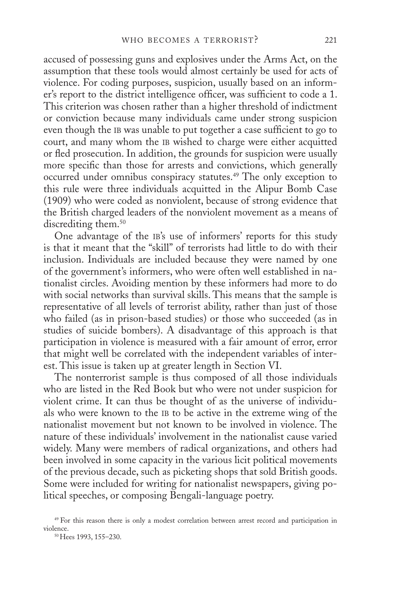accused of possessing guns and explosives under the Arms Act, on the assumption that these tools would almost certainly be used for acts of violence. For coding purposes, suspicion, usually based on an informer's report to the district intelligence officer, was sufficient to code a 1. This criterion was chosen rather than a higher threshold of indictment or conviction because many individuals came under strong suspicion even though the ib was unable to put together a case sufficient to go to court, and many whom the IB wished to charge were either acquitted or fled prosecution. In addition, the grounds for suspicion were usually more specific than those for arrests and convictions, which generally occurred under omnibus conspiracy statutes.49 The only exception to this rule were three individuals acquitted in the Alipur Bomb Case (1909) who were coded as nonviolent, because of strong evidence that the British charged leaders of the nonviolent movement as a means of discrediting them.<sup>50</sup>

 One advantage of the ib's use of informers' reports for this study is that it meant that the "skill" of terrorists had little to do with their inclusion. Individuals are included because they were named by one of the government's informers, who were often well established in nationalist circles. Avoiding mention by these informers had more to do with social networks than survival skills. This means that the sample is representative of all levels of terrorist ability, rather than just of those who failed (as in prison-based studies) or those who succeeded (as in studies of suicide bombers). A disadvantage of this approach is that participation in violence is measured with a fair amount of error, error that might well be correlated with the independent variables of interest. This issue is taken up at greater length in Section VI.

The nonterrorist sample is thus composed of all those individuals who are listed in the Red Book but who were not under suspicion for violent crime. It can thus be thought of as the universe of individuals who were known to the IB to be active in the extreme wing of the nationalist movement but not known to be involved in violence. The nature of these individuals' involvement in the nationalist cause varied widely. Many were members of radical organizations, and others had been involved in some capacity in the various licit political movements of the previous decade, such as picketing shops that sold British goods. Some were included for writing for nationalist newspapers, giving political speeches, or composing Bengali-language poetry.

<sup>&</sup>lt;sup>49</sup> For this reason there is only a modest correlation between arrest record and participation in violence.

<sup>50</sup> Hees 1993, 155–230.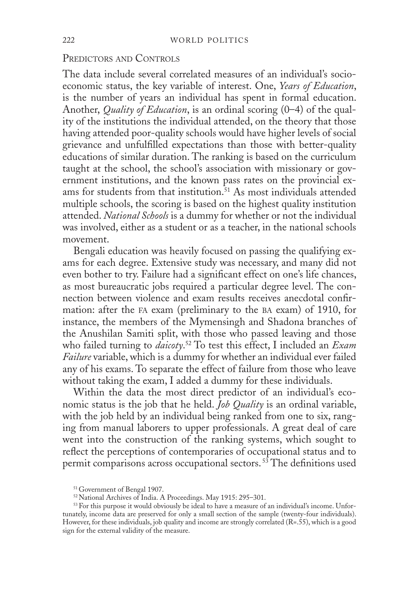# PREDICTORS AND CONTROLS

The data include several correlated measures of an individual's socioeconomic status, the key variable of interest. One, *Years of Education*, is the number of years an individual has spent in formal education. Another, *Quality of Education*, is an ordinal scoring (0–4) of the quality of the institutions the individual attended, on the theory that those having attended poor-quality schools would have higher levels of social grievance and unfulfilled expectations than those with better-quality educations of similar duration. The ranking is based on the curriculum taught at the school, the school's association with missionary or government institutions, and the known pass rates on the provincial exams for students from that institution.<sup>51</sup> As most individuals attended multiple schools, the scoring is based on the highest quality institution attended. *National Schools* is a dummy for whether or not the individual was involved, either as a student or as a teacher, in the national schools movement.

Bengali education was heavily focused on passing the qualifying exams for each degree. Extensive study was necessary, and many did not even bother to try. Failure had a significant effect on one's life chances, as most bureaucratic jobs required a particular degree level. The connection between violence and exam results receives anecdotal confirmation: after the fa exam (preliminary to the ba exam) of 1910, for instance, the members of the Mymensingh and Shadona branches of the Anushilan Samiti split, with those who passed leaving and those who failed turning to *daicoty*. 52 To test this effect, I included an *Exam Failure* variable, which is a dummy for whether an individual ever failed any of his exams. To separate the effect of failure from those who leave without taking the exam, I added a dummy for these individuals.

Within the data the most direct predictor of an individual's economic status is the job that he held. *Job Quality* is an ordinal variable, with the job held by an individual being ranked from one to six, ranging from manual laborers to upper professionals. A great deal of care went into the construction of the ranking systems, which sought to reflect the perceptions of contemporaries of occupational status and to permit comparisons across occupational sectors.<sup>53</sup> The definitions used

<sup>51</sup> Government of Bengal 1907.

<sup>52</sup> National Archives of India. A Proceedings. May 1915: 295–301.

<sup>53</sup> For this purpose it would obviously be ideal to have a measure of an individual's income. Unfortunately, income data are preserved for only a small section of the sample (twenty-four individuals). However, for these individuals, job quality and income are strongly correlated (R=.55), which is a good sign for the external validity of the measure.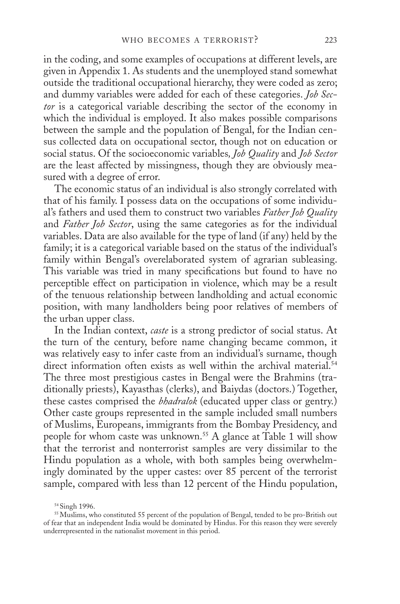in the coding, and some examples of occupations at different levels, are given in Appendix 1. As students and the unemployed stand somewhat outside the traditional occupational hierarchy, they were coded as zero; and dummy variables were added for each of these categories. *Job Sector* is a categorical variable describing the sector of the economy in which the individual is employed. It also makes possible comparisons between the sample and the population of Bengal, for the Indian census collected data on occupational sector, though not on education or social status. Of the socioeconomic variables*, Job Quality* and *Job Sector* are the least affected by missingness, though they are obviously measured with a degree of error.

The economic status of an individual is also strongly correlated with that of his family. I possess data on the occupations of some individual's fathers and used them to construct two variables *Father Job Quality* and *Father Job Sector*, using the same categories as for the individual variables. Data are also available for the type of land (if any) held by the family; it is a categorical variable based on the status of the individual's family within Bengal's overelaborated system of agrarian subleasing. This variable was tried in many specifications but found to have no perceptible effect on participation in violence, which may be a result of the tenuous relationship between landholding and actual economic position, with many landholders being poor relatives of members of the urban upper class.

 In the Indian context, *caste* is a strong predictor of social status. At the turn of the century, before name changing became common, it was relatively easy to infer caste from an individual's surname, though direct information often exists as well within the archival material.<sup>54</sup> The three most prestigious castes in Bengal were the Brahmins (traditionally priests), Kayasthas (clerks), and Baiydas (doctors.) Together, these castes comprised the *bhadralok* (educated upper class or gentry.) Other caste groups represented in the sample included small numbers of Muslims, Europeans, immigrants from the Bombay Presidency, and people for whom caste was unknown.55 A glance at Table 1 will show that the terrorist and nonterrorist samples are very dissimilar to the Hindu population as a whole, with both samples being overwhelmingly dominated by the upper castes: over 85 percent of the terrorist sample, compared with less than 12 percent of the Hindu population,

<sup>54</sup> Singh 1996.

<sup>55</sup> Muslims, who constituted 55 percent of the population of Bengal, tended to be pro-British out of fear that an independent India would be dominated by Hindus. For this reason they were severely underrepresented in the nationalist movement in this period.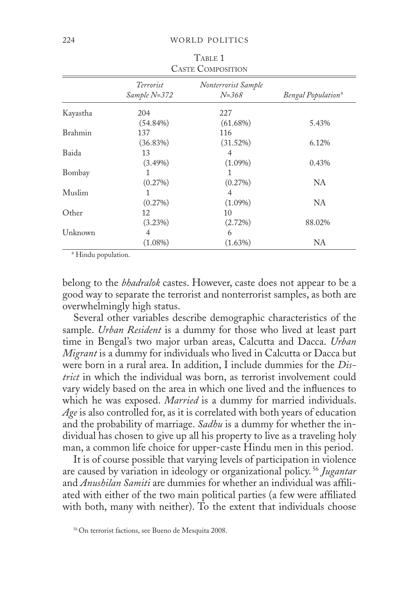|          |                           | CASTE COMPOSITION            |                                |
|----------|---------------------------|------------------------------|--------------------------------|
|          | Terrorist<br>Sample N=372 | Nonterrorist Sample<br>N=368 | Bengal Population <sup>a</sup> |
| Kayastha | 204                       | 227                          |                                |
|          | (54.84%)                  | (61.68%)                     | 5.43%                          |
| Brahmin  | 137                       | 116                          |                                |
|          | (36.83%)                  | (31.52%)                     | 6.12%                          |
| Baida    | 13                        | 4                            |                                |
|          | $(3.49\%)$                | $(1.09\%)$                   | 0.43%                          |
| Bombay   |                           |                              |                                |
|          | (0.27%)                   | $(0.27\%)$                   | NA                             |
| Muslim   |                           | 4                            |                                |
|          | (0.27%)                   | $(1.09\%)$                   | NA                             |
| Other    | 12                        | 10                           |                                |
|          | $(3.23\%)$                | $(2.72\%)$                   | 88.02%                         |
| Unknown  | 4                         | 6                            |                                |
|          | $(1.08\%)$                | (1.63%)                      | NA                             |

TABLE 1 CASTE COMPOSITION

<sup>a</sup> Hindu population.

belong to the *bhadralok* castes. However, caste does not appear to be a good way to separate the terrorist and nonterrorist samples, as both are overwhelmingly high status.

 Several other variables describe demographic characteristics of the sample. *Urban Resident* is a dummy for those who lived at least part time in Bengal's two major urban areas, Calcutta and Dacca. *Urban Migrant* is a dummy for individuals who lived in Calcutta or Dacca but were born in a rural area. In addition, I include dummies for the *District* in which the individual was born, as terrorist involvement could vary widely based on the area in which one lived and the influences to which he was exposed. *Married* is a dummy for married individuals. *Age* is also controlled for, as it is correlated with both years of education and the probability of marriage. *Sadhu* is a dummy for whether the individual has chosen to give up all his property to live as a traveling holy man, a common life choice for upper-caste Hindu men in this period.

It is of course possible that varying levels of participation in violence are caused by variation in ideology or organizational policy. 56 *Jugantar* and *Anushilan Samiti* are dummies for whether an individual was affiliated with either of the two main political parties (a few were affiliated with both, many with neither). To the extent that individuals choose

<sup>56</sup> On terrorist factions, see Bueno de Mesquita 2008.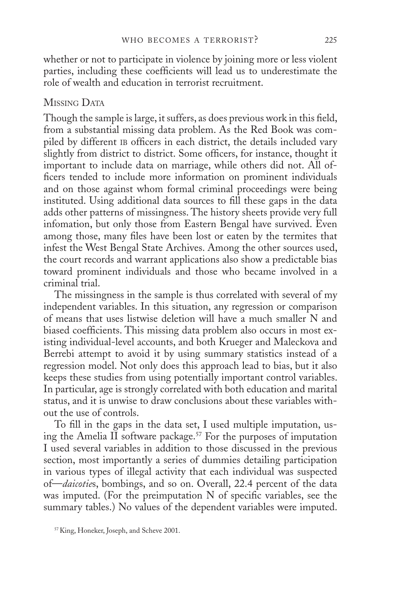whether or not to participate in violence by joining more or less violent parties, including these coefficients will lead us to underestimate the role of wealth and education in terrorist recruitment.

## MISSING DATA

Though the sample is large, it suffers, as does previous work in this field, from a substantial missing data problem. As the Red Book was compiled by different ib officers in each district, the details included vary slightly from district to district. Some officers, for instance, thought it important to include data on marriage, while others did not. All officers tended to include more information on prominent individuals and on those against whom formal criminal proceedings were being instituted. Using additional data sources to fill these gaps in the data adds other patterns of missingness. The history sheets provide very full infomation, but only those from Eastern Bengal have survived. Even among those, many files have been lost or eaten by the termites that infest the West Bengal State Archives. Among the other sources used, the court records and warrant applications also show a predictable bias toward prominent individuals and those who became involved in a criminal trial.

The missingness in the sample is thus correlated with several of my independent variables. In this situation, any regression or comparison of means that uses listwise deletion will have a much smaller N and biased coefficients. This missing data problem also occurs in most existing individual-level accounts, and both Krueger and Maleckova and Berrebi attempt to avoid it by using summary statistics instead of a regression model. Not only does this approach lead to bias, but it also keeps these studies from using potentially important control variables. In particular, age is strongly correlated with both education and marital status, and it is unwise to draw conclusions about these variables without the use of controls.

To fill in the gaps in the data set, I used multiple imputation, using the Amelia II software package.<sup>57</sup> For the purposes of imputation I used several variables in addition to those discussed in the previous section, most importantly a series of dummies detailing participation in various types of illegal activity that each individual was suspected of—*daicotie*s, bombings, and so on. Overall, 22.4 percent of the data was imputed. (For the preimputation N of specific variables, see the summary tables.) No values of the dependent variables were imputed.

<sup>&</sup>lt;sup>57</sup> King, Honeker, Joseph, and Scheve 2001.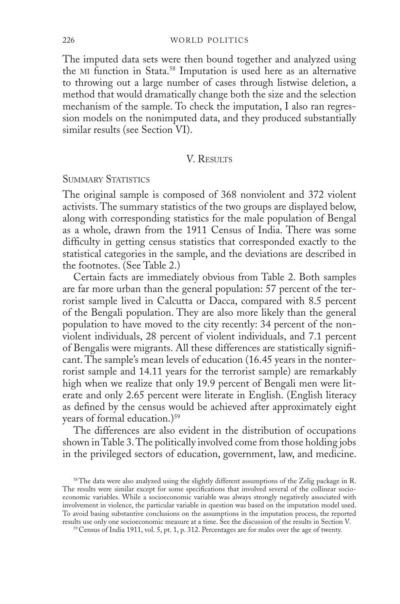The imputed data sets were then bound together and analyzed using the mi function in Stata.58 Imputation is used here as an alternative to throwing out a large number of cases through listwise deletion, a method that would dramatically change both the size and the selection mechanism of the sample. To check the imputation, I also ran regression models on the nonimputed data, and they produced substantially similar results (see Section VI).

## V. RESULTS

## SUMMARY STATISTICS

The original sample is composed of 368 nonviolent and 372 violent activists. The summary statistics of the two groups are displayed below, along with corresponding statistics for the male population of Bengal as a whole, drawn from the 1911 Census of India. There was some difficulty in getting census statistics that corresponded exactly to the statistical categories in the sample, and the deviations are described in the footnotes. (See Table 2.)

Certain facts are immediately obvious from Table 2. Both samples are far more urban than the general population: 57 percent of the terrorist sample lived in Calcutta or Dacca, compared with 8.5 percent of the Bengali population. They are also more likely than the general population to have moved to the city recently: 34 percent of the nonviolent individuals, 28 percent of violent individuals, and 7.1 percent of Bengalis were migrants. All these differences are statistically significant. The sample's mean levels of education (16.45 years in the nonterrorist sample and 14.11 years for the terrorist sample) are remarkably high when we realize that only 19.9 percent of Bengali men were literate and only 2.65 percent were literate in English. (English literacy as defined by the census would be achieved after approximately eight years of formal education.)<sup>59</sup>

The differences are also evident in the distribution of occupations shown in Table 3. The politically involved come from those holding jobs in the privileged sectors of education, government, law, and medicine.

59 Census of India 1911, vol. 5, pt. 1, p. 312. Percentages are for males over the age of twenty.

<sup>&</sup>lt;sup>58</sup> The data were also analyzed using the slightly different assumptions of the Zelig package in R. The results were similar except for some specifications that involved several of the collinear socioeconomic variables. While a socioeconomic variable was always strongly negatively associated with involvement in violence, the particular variable in question was based on the imputation model used. To avoid basing substantive conclusions on the assumptions in the imputation process, the reported results use only one socioeconomic measure at a time. See the discussion of the results in Section V.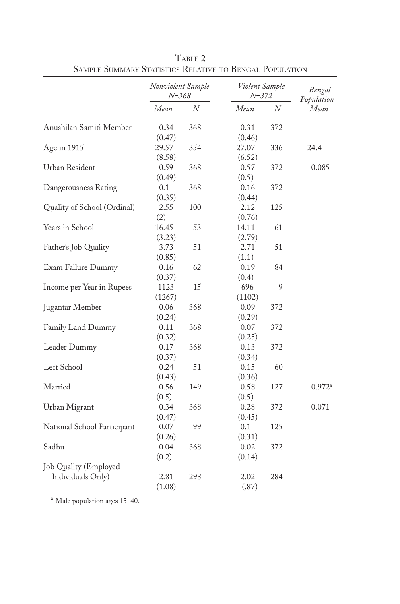|                                            | Nonviolent Sample<br>$N = 368$ |     | Violent Sample<br>$N = 372$ |     | Bengal<br>Population |
|--------------------------------------------|--------------------------------|-----|-----------------------------|-----|----------------------|
|                                            | Mean                           | N   | Mean                        | Ν   | Mean                 |
| Anushilan Samiti Member                    | 0.34<br>(0.47)                 | 368 | 0.31<br>(0.46)              | 372 |                      |
| Age in 1915                                | 29.57<br>(8.58)                | 354 | 27.07<br>(6.52)             | 336 | 24.4                 |
| Urban Resident                             | 0.59<br>(0.49)                 | 368 | 0.57<br>(0.5)               | 372 | 0.085                |
| Dangerousness Rating                       | 0.1<br>(0.35)                  | 368 | 0.16<br>(0.44)              | 372 |                      |
| Quality of School (Ordinal)                | 2.55<br>(2)                    | 100 | 2.12<br>(0.76)              | 125 |                      |
| Years in School                            | 16.45<br>(3.23)                | 53  | 14.11<br>(2.79)             | 61  |                      |
| Father's Job Quality                       | 3.73<br>(0.85)                 | 51  | 2.71<br>(1.1)               | 51  |                      |
| Exam Failure Dummy                         | 0.16<br>(0.37)                 | 62  | 0.19<br>(0.4)               | 84  |                      |
| Income per Year in Rupees                  | 1123<br>(1267)                 | 15  | 696<br>(1102)               | 9   |                      |
| Jugantar Member                            | 0.06<br>(0.24)                 | 368 | 0.09<br>(0.29)              | 372 |                      |
| Family Land Dummy                          | 0.11<br>(0.32)                 | 368 | 0.07<br>(0.25)              | 372 |                      |
| Leader Dummy                               | 0.17<br>(0.37)                 | 368 | 0.13<br>(0.34)              | 372 |                      |
| Left School                                | 0.24<br>(0.43)                 | 51  | 0.15<br>(0.36)              | 60  |                      |
| Married                                    | 0.56<br>(0.5)                  | 149 | 0.58<br>(0.5)               | 127 | $0.972^{\rm a}$      |
| Urban Migrant                              | 0.34<br>(0.47)                 | 368 | 0.28<br>(0.45)              | 372 | 0.071                |
| National School Participant                | 0.07<br>(0.26)                 | 99  | 0.1<br>(0.31)               | 125 |                      |
| Sadhu                                      | 0.04<br>(0.2)                  | 368 | 0.02<br>(0.14)              | 372 |                      |
| Job Quality (Employed<br>Individuals Only) | 2.81<br>(1.08)                 | 298 | 2.02<br>(.87)               | 284 |                      |

TABLE 2 SAMPLE SUMMARY STATISTICS RELATIVE TO BENGAL POPULATION

<sup>a</sup> Male population ages 15–40.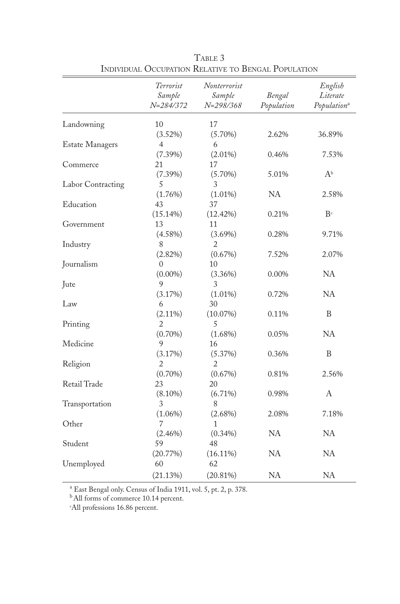|                        | Terrorist<br>Sample<br>N=284/372 | Nonterrorist<br>Sample<br>N=298/368 | Bengal<br>Population | English<br>Literate<br>Population <sup>a</sup> |
|------------------------|----------------------------------|-------------------------------------|----------------------|------------------------------------------------|
| Landowning             | 10                               | 17                                  |                      |                                                |
|                        | $(3.52\%)$                       | $(5.70\%)$                          | 2.62%                | 36.89%                                         |
| <b>Estate Managers</b> | $\overline{4}$                   | 6                                   |                      |                                                |
|                        | $(7.39\%)$                       | $(2.01\%)$                          | 0.46%                | 7.53%                                          |
| Commerce               | 21                               | 17                                  |                      |                                                |
|                        | $(7.39\%)$                       | $(5.70\%)$                          | 5.01%                | $A^{\rm b}$                                    |
| Labor Contracting      | 5                                | 3                                   |                      |                                                |
|                        | $(1.76\%)$                       | $(1.01\%)$                          | <b>NA</b>            | 2.58%                                          |
| Education              | 43                               | 37                                  |                      |                                                |
|                        | (15.14%)                         | (12.42%)                            | 0.21%                | B <sup>c</sup>                                 |
| Government             | 13                               | 11                                  |                      |                                                |
|                        | (4.58%)                          | $(3.69\%)$                          | 0.28%                | 9.71%                                          |
| Industry               | 8                                | 2                                   |                      |                                                |
|                        | $(2.82\%)$                       | (0.67%)                             | 7.52%                | 2.07%                                          |
| Journalism             | 0                                | 10                                  |                      |                                                |
|                        | $(0.00\%)$                       | $(3.36\%)$                          | 0.00%                | <b>NA</b>                                      |
| Jute                   | 9                                | 3                                   |                      |                                                |
|                        | (3.17%)                          | $(1.01\%)$                          | 0.72%                | <b>NA</b>                                      |
| Law                    | 6                                | 30                                  |                      |                                                |
|                        | $(2.11\%)$                       | $(10.07\%)$                         | 0.11%                | B                                              |
| Printing               | $\overline{2}$                   | 5                                   |                      |                                                |
|                        | $(0.70\%)$                       | $(1.68\%)$                          | 0.05%                | NA                                             |
| Medicine               | 9                                | 16                                  |                      |                                                |
|                        | (3.17%)                          | (5.37%)                             | 0.36%                | B                                              |
| Religion               | 2                                | 2                                   |                      |                                                |
|                        | $(0.70\%)$                       | (0.67%)                             | 0.81%                | 2.56%                                          |
| Retail Trade           | 23                               | 20                                  |                      |                                                |
|                        | $(8.10\%)$                       | $(6.71\%)$                          | 0.98%                | A                                              |
| Transportation         | 3                                | 8                                   |                      |                                                |
|                        | $(1.06\%)$                       | $(2.68\%)$                          | 2.08%                | 7.18%                                          |
| Other                  | 7                                | 1                                   |                      |                                                |
|                        | $(2.46\%)$                       | $(0.34\%)$                          | NA                   | <b>NA</b>                                      |
| Student                | 59                               | 48                                  |                      |                                                |
|                        | (20.77%)                         | $(16.11\%)$                         | NA                   | <b>NA</b>                                      |
| Unemployed             | 60                               | 62                                  |                      |                                                |
|                        | (21.13%)                         | (20.81%)                            | NA                   | NA                                             |

TABLE 3 Individual Occupation Relative to Bengal Population

<sup>a</sup> East Bengal only. Census of India 1911, vol. 5, pt. 2, p. 378.

<sup>b</sup>All forms of commerce 10.14 percent.

c All professions 16.86 percent.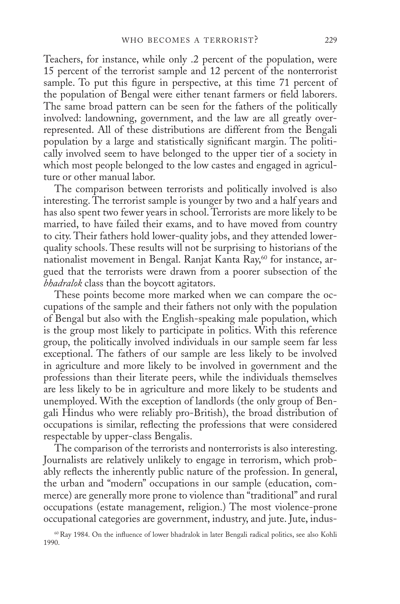Teachers, for instance, while only .2 percent of the population, were 15 percent of the terrorist sample and 12 percent of the nonterrorist sample. To put this figure in perspective, at this time 71 percent of the population of Bengal were either tenant farmers or field laborers. The same broad pattern can be seen for the fathers of the politically involved: landowning, government, and the law are all greatly overrepresented. All of these distributions are different from the Bengali population by a large and statistically significant margin. The politically involved seem to have belonged to the upper tier of a society in which most people belonged to the low castes and engaged in agriculture or other manual labor.

The comparison between terrorists and politically involved is also interesting. The terrorist sample is younger by two and a half years and has also spent two fewer years in school. Terrorists are more likely to be married, to have failed their exams, and to have moved from country to city. Their fathers hold lower-quality jobs, and they attended lowerquality schools. These results will not be surprising to historians of the nationalist movement in Bengal. Ranjat Kanta Ray,<sup>60</sup> for instance, argued that the terrorists were drawn from a poorer subsection of the *bhadralok* class than the boycott agitators.

These points become more marked when we can compare the occupations of the sample and their fathers not only with the population of Bengal but also with the English-speaking male population, which is the group most likely to participate in politics. With this reference group, the politically involved individuals in our sample seem far less exceptional. The fathers of our sample are less likely to be involved in agriculture and more likely to be involved in government and the professions than their literate peers, while the individuals themselves are less likely to be in agriculture and more likely to be students and unemployed. With the exception of landlords (the only group of Bengali Hindus who were reliably pro-British), the broad distribution of occupations is similar, reflecting the professions that were considered respectable by upper-class Bengalis.

The comparison of the terrorists and nonterrorists is also interesting. Journalists are relatively unlikely to engage in terrorism, which probably reflects the inherently public nature of the profession. In general, the urban and "modern" occupations in our sample (education, commerce) are generally more prone to violence than "traditional" and rural occupations (estate management, religion.) The most violence-prone occupational categories are government, industry, and jute. Jute, indus-

<sup>60</sup> Ray 1984. On the influence of lower bhadralok in later Bengali radical politics, see also Kohli 1990.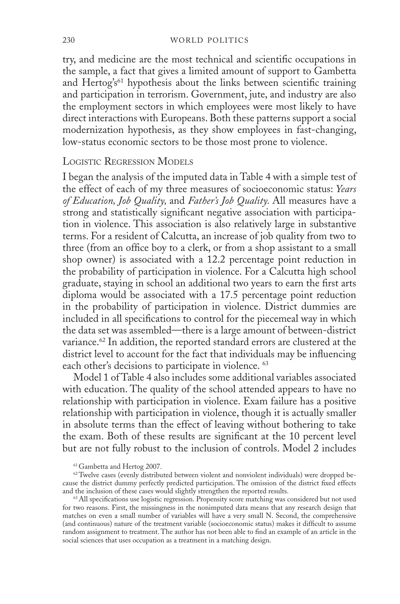try, and medicine are the most technical and scientific occupations in the sample, a fact that gives a limited amount of support to Gambetta and Hertog's<sup>61</sup> hypothesis about the links between scientific training and participation in terrorism. Government, jute, and industry are also the employment sectors in which employees were most likely to have direct interactions with Europeans. Both these patterns support a social modernization hypothesis, as they show employees in fast-changing, low-status economic sectors to be those most prone to violence.

## Logistic Regression Models

I began the analysis of the imputed data in Table 4 with a simple test of the effect of each of my three measures of socioeconomic status: *Years of Education, Job Quality,* and *Father's Job Quality.* All measures have a strong and statistically significant negative association with participation in violence. This association is also relatively large in substantive terms. For a resident of Calcutta, an increase of job quality from two to three (from an office boy to a clerk, or from a shop assistant to a small shop owner) is associated with a 12.2 percentage point reduction in the probability of participation in violence. For a Calcutta high school graduate, staying in school an additional two years to earn the first arts diploma would be associated with a 17.5 percentage point reduction in the probability of participation in violence. District dummies are included in all specifications to control for the piecemeal way in which the data set was assembled—there is a large amount of between-district variance.<sup>62</sup> In addition, the reported standard errors are clustered at the district level to account for the fact that individuals may be influencing each other's decisions to participate in violence. 63

 Model 1 of Table 4 also includes some additional variables associated with education. The quality of the school attended appears to have no relationship with participation in violence. Exam failure has a positive relationship with participation in violence, though it is actually smaller in absolute terms than the effect of leaving without bothering to take the exam. Both of these results are significant at the 10 percent level but are not fully robust to the inclusion of controls. Model 2 includes

<sup>&</sup>lt;sup>61</sup> Gambetta and Hertog 2007.

<sup>&</sup>lt;sup>62</sup> Twelve cases (evenly distributed between violent and nonviolent individuals) were dropped because the district dummy perfectly predicted participation. The omission of the district fixed effects and the inclusion of these cases would slightly strengthen the reported results.

<sup>&</sup>lt;sup>63</sup> All specifications use logistic regression. Propensity score matching was considered but not used for two reasons. First, the missingness in the nonimputed data means that any research design that matches on even a small number of variables will have a very small N. Second, the comprehensive (and continuous) nature of the treatment variable (socioeconomic status) makes it difficult to assume random assignment to treatment. The author has not been able to find an example of an article in the social sciences that uses occupation as a treatment in a matching design.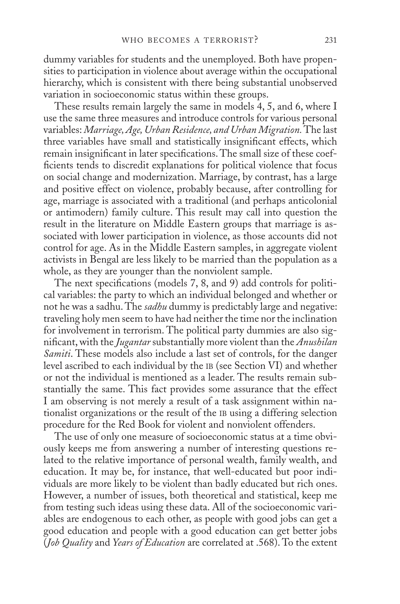dummy variables for students and the unemployed. Both have propensities to participation in violence about average within the occupational hierarchy, which is consistent with there being substantial unobserved variation in socioeconomic status within these groups.

These results remain largely the same in models 4, 5, and 6, where I use the same three measures and introduce controls for various personal variables: *Marriage, Age, Urban Residence, and Urban Migration.* The last three variables have small and statistically insignificant effects, which remain insignificant in later specifications. The small size of these coefficients tends to discredit explanations for political violence that focus on social change and modernization. Marriage, by contrast, has a large and positive effect on violence, probably because, after controlling for age, marriage is associated with a traditional (and perhaps anticolonial or antimodern) family culture. This result may call into question the result in the literature on Middle Eastern groups that marriage is associated with lower participation in violence, as those accounts did not control for age. As in the Middle Eastern samples, in aggregate violent activists in Bengal are less likely to be married than the population as a whole, as they are younger than the nonviolent sample.

The next specifications (models 7, 8, and 9) add controls for political variables: the party to which an individual belonged and whether or not he was a sadhu. The *sadhu* dummy is predictably large and negative: traveling holy men seem to have had neither the time nor the inclination for involvement in terrorism. The political party dummies are also significant, with the *Jugantar* substantially more violent than the *Anushilan Samiti*. These models also include a last set of controls, for the danger level ascribed to each individual by the ib (see Section VI) and whether or not the individual is mentioned as a leader. The results remain substantially the same. This fact provides some assurance that the effect I am observing is not merely a result of a task assignment within nationalist organizations or the result of the ib using a differing selection procedure for the Red Book for violent and nonviolent offenders.

The use of only one measure of socioeconomic status at a time obviously keeps me from answering a number of interesting questions related to the relative importance of personal wealth, family wealth, and education. It may be, for instance, that well-educated but poor individuals are more likely to be violent than badly educated but rich ones. However, a number of issues, both theoretical and statistical, keep me from testing such ideas using these data. All of the socioeconomic variables are endogenous to each other, as people with good jobs can get a good education and people with a good education can get better jobs (*Job Quality* and *Years of Education* are correlated at .568). To the extent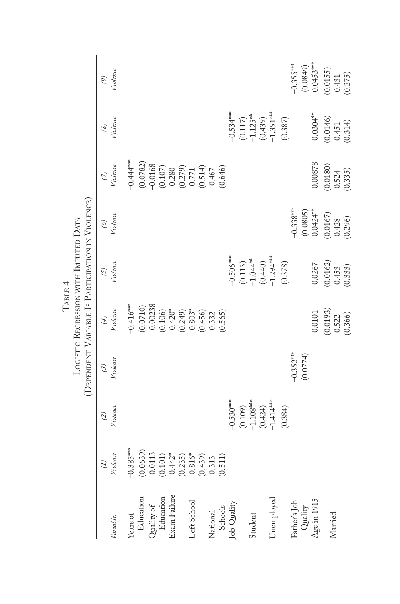|                         |                                                                                               |                                                                          | Arana An                | io romano.                                                                                                               |                                                                                | (DEPENDENT VARIABLE IS PARTICIPATION IN VIOLENCE)<br>$\frac{1}{2}$ |                                                                                                                                                  |                                                                                                |                                |
|-------------------------|-----------------------------------------------------------------------------------------------|--------------------------------------------------------------------------|-------------------------|--------------------------------------------------------------------------------------------------------------------------|--------------------------------------------------------------------------------|--------------------------------------------------------------------|--------------------------------------------------------------------------------------------------------------------------------------------------|------------------------------------------------------------------------------------------------|--------------------------------|
| Variables               | Violence<br>$\overline{z}$                                                                    | Violence<br>$\widetilde{\mathcal{Q}}$                                    | Violence<br>$\bigcirc$  | $\label{eq:1} Violetive$<br>$\left( \not\leftrightarrow\right)$                                                          | Violence<br>$\binom{5}{2}$                                                     | Violence<br>$\left(\rho\right)$                                    | Violence<br>$\bigcirc$                                                                                                                           | Violence<br>$(\mathcal{S})$                                                                    | Violence<br>$\mathcal{L}$      |
|                         |                                                                                               |                                                                          |                         |                                                                                                                          |                                                                                |                                                                    |                                                                                                                                                  |                                                                                                |                                |
| Years of                | $-0.385***$                                                                                   |                                                                          |                         | $-0.416***$                                                                                                              |                                                                                |                                                                    | $-0.444***$                                                                                                                                      |                                                                                                |                                |
| Education               |                                                                                               |                                                                          |                         |                                                                                                                          |                                                                                |                                                                    |                                                                                                                                                  |                                                                                                |                                |
|                         |                                                                                               |                                                                          |                         |                                                                                                                          |                                                                                |                                                                    |                                                                                                                                                  |                                                                                                |                                |
| Quality of<br>Education |                                                                                               |                                                                          |                         |                                                                                                                          |                                                                                |                                                                    |                                                                                                                                                  |                                                                                                |                                |
| Exam Failure            |                                                                                               |                                                                          |                         |                                                                                                                          |                                                                                |                                                                    |                                                                                                                                                  |                                                                                                |                                |
|                         |                                                                                               |                                                                          |                         |                                                                                                                          |                                                                                |                                                                    |                                                                                                                                                  |                                                                                                |                                |
| Left School             | $\begin{array}{c} (0.0639) \\ 0.0113 \\ (0.101) \\ 0.442^* \\ (0.235) \\ 0.816^* \end{array}$ |                                                                          |                         | $\begin{array}{l} (0.0710)\\ 0.00238\\ 0.00238\\ 0.106)\\ (0.106)\\ (0.249)\\ (0.249)\\ (0.332)\\ (0.565)\\ \end{array}$ |                                                                                |                                                                    | $\begin{array}{l} (0.0782) \\ -0.0168 \\ -0.0168 \\ (0.107) \\ 0.280 \\ (0.277) \\ -0.514 \\ (0.514) \\ -0.514 \\ (0.646) \\ 0.646) \end{array}$ |                                                                                                |                                |
|                         | $(0.439)$<br>$0.313$<br>$(0.511)$                                                             |                                                                          |                         |                                                                                                                          |                                                                                |                                                                    |                                                                                                                                                  |                                                                                                |                                |
|                         |                                                                                               |                                                                          |                         |                                                                                                                          |                                                                                |                                                                    |                                                                                                                                                  |                                                                                                |                                |
| National<br>Schools     |                                                                                               |                                                                          |                         |                                                                                                                          |                                                                                |                                                                    |                                                                                                                                                  |                                                                                                |                                |
| Job Quality             |                                                                                               |                                                                          |                         |                                                                                                                          |                                                                                |                                                                    |                                                                                                                                                  |                                                                                                |                                |
|                         |                                                                                               |                                                                          |                         |                                                                                                                          |                                                                                |                                                                    |                                                                                                                                                  |                                                                                                |                                |
| Student                 |                                                                                               |                                                                          |                         |                                                                                                                          |                                                                                |                                                                    |                                                                                                                                                  |                                                                                                |                                |
|                         |                                                                                               |                                                                          |                         |                                                                                                                          |                                                                                |                                                                    |                                                                                                                                                  |                                                                                                |                                |
| Unemployed              |                                                                                               | $-0.530***$<br>(0.109)<br>(1.108***<br>-1.108***<br>(0.424)<br>-1.414*** |                         |                                                                                                                          | $-0.506$ ***<br>(0.113)<br>$-1.044$ **<br>(0.440)<br>$-1.294$ ***<br>-1.294*** |                                                                    |                                                                                                                                                  | $-0.534***$<br>$(0.117)$<br>$-1.125**$<br>$(0.439)$<br>$-1.351***$<br>$-1.351***$<br>$(0.387)$ |                                |
|                         |                                                                                               | (0.384)                                                                  |                         |                                                                                                                          |                                                                                |                                                                    |                                                                                                                                                  |                                                                                                |                                |
| Father's Job            |                                                                                               |                                                                          |                         |                                                                                                                          |                                                                                | $-0.338***$                                                        |                                                                                                                                                  |                                                                                                | $-0.355***$                    |
| Quality                 |                                                                                               |                                                                          | $-0.352***$<br>(0.0774) |                                                                                                                          |                                                                                |                                                                    |                                                                                                                                                  |                                                                                                |                                |
| Age in 1915             |                                                                                               |                                                                          |                         | $-0.0101$                                                                                                                | $-0.0267$                                                                      | $(0.0805)$<br>-0.0424**                                            | $-0.00878$                                                                                                                                       | $-0.0304***$                                                                                   | $(0.0849)$<br>-0.0453***       |
|                         |                                                                                               |                                                                          |                         | $(0.0193)$<br>$0.522$<br>$(0.366)$                                                                                       | $(0.0162)$<br>0.453<br>$(0.333)$                                               | $(0.0167)$<br>$0.428$<br>$(0.296)$                                 | $\begin{array}{c} (0.0180) \\ 0.524 \\ (0.335) \end{array}$                                                                                      | $(0.0146)$<br>0.451<br>(0.314)                                                                 | $(0.0155)$<br>0.431<br>(0.275) |
| Married                 |                                                                                               |                                                                          |                         |                                                                                                                          |                                                                                |                                                                    |                                                                                                                                                  |                                                                                                |                                |
|                         |                                                                                               |                                                                          |                         |                                                                                                                          |                                                                                |                                                                    |                                                                                                                                                  |                                                                                                |                                |

LOGISTIC REGRESSION WITH IMPUTED DATA TABLE 4

Logistic Regression with Imputed Data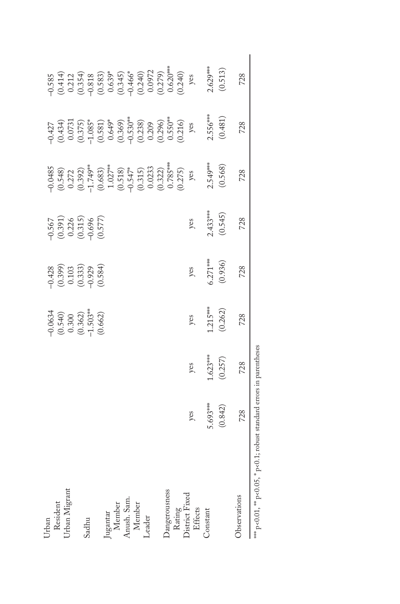| Urban                                                |            |                       |                                                                                           |                                                                        |                                                                        |                                                                                                                                                                                          |                                                                                                                                                                                                                                                                        |                                                                                                                                                                                                                                                                                            |
|------------------------------------------------------|------------|-----------------------|-------------------------------------------------------------------------------------------|------------------------------------------------------------------------|------------------------------------------------------------------------|------------------------------------------------------------------------------------------------------------------------------------------------------------------------------------------|------------------------------------------------------------------------------------------------------------------------------------------------------------------------------------------------------------------------------------------------------------------------|--------------------------------------------------------------------------------------------------------------------------------------------------------------------------------------------------------------------------------------------------------------------------------------------|
| Resident<br>Urban Migrant                            |            |                       |                                                                                           |                                                                        |                                                                        |                                                                                                                                                                                          |                                                                                                                                                                                                                                                                        |                                                                                                                                                                                                                                                                                            |
|                                                      |            |                       |                                                                                           |                                                                        |                                                                        |                                                                                                                                                                                          |                                                                                                                                                                                                                                                                        |                                                                                                                                                                                                                                                                                            |
|                                                      |            |                       | $-0.0634$<br>$(0.540)$<br>$(0.360)$<br>$(0.362)$<br>$-1.503$ <sup>**</sup><br>$-1.503$ ** | $-0.428$<br>$(0.399)$<br>$0.103$<br>$(0.333)$<br>$-0.929$<br>$(0.584)$ | $-0.567$<br>$(0.391)$<br>$0.226$<br>$(0.315)$<br>$-0.696$<br>$(0.577)$ |                                                                                                                                                                                          |                                                                                                                                                                                                                                                                        |                                                                                                                                                                                                                                                                                            |
| Sadhu                                                |            |                       |                                                                                           |                                                                        |                                                                        |                                                                                                                                                                                          |                                                                                                                                                                                                                                                                        |                                                                                                                                                                                                                                                                                            |
|                                                      |            |                       |                                                                                           |                                                                        |                                                                        |                                                                                                                                                                                          |                                                                                                                                                                                                                                                                        |                                                                                                                                                                                                                                                                                            |
|                                                      |            |                       |                                                                                           |                                                                        |                                                                        |                                                                                                                                                                                          |                                                                                                                                                                                                                                                                        |                                                                                                                                                                                                                                                                                            |
| Jugantar<br>Member<br>Anush. Sam.<br>Member          |            |                       |                                                                                           |                                                                        |                                                                        |                                                                                                                                                                                          |                                                                                                                                                                                                                                                                        |                                                                                                                                                                                                                                                                                            |
|                                                      |            |                       |                                                                                           |                                                                        |                                                                        |                                                                                                                                                                                          |                                                                                                                                                                                                                                                                        |                                                                                                                                                                                                                                                                                            |
|                                                      |            |                       |                                                                                           |                                                                        |                                                                        |                                                                                                                                                                                          |                                                                                                                                                                                                                                                                        |                                                                                                                                                                                                                                                                                            |
| Leader                                               |            |                       |                                                                                           |                                                                        |                                                                        |                                                                                                                                                                                          |                                                                                                                                                                                                                                                                        |                                                                                                                                                                                                                                                                                            |
|                                                      |            |                       |                                                                                           |                                                                        |                                                                        |                                                                                                                                                                                          |                                                                                                                                                                                                                                                                        |                                                                                                                                                                                                                                                                                            |
|                                                      |            |                       |                                                                                           |                                                                        |                                                                        |                                                                                                                                                                                          |                                                                                                                                                                                                                                                                        |                                                                                                                                                                                                                                                                                            |
|                                                      |            |                       |                                                                                           |                                                                        |                                                                        |                                                                                                                                                                                          |                                                                                                                                                                                                                                                                        |                                                                                                                                                                                                                                                                                            |
| Dangerousness<br>Rating<br>District Fixed<br>Effects | yes        | yes                   | yes                                                                                       | yes                                                                    | yes                                                                    | $-0.0485$<br>$-0.548$<br>$-0.543$<br>$-1.749$<br>$-1.749$<br>$-1.0683$<br>$-0.547$<br>$-0.0322$<br>$-0.0323$<br>$-0.0325$<br>$-0.035$<br>$-0.0375$<br>$-0.0375$<br>$-0.0368$<br>$-0.549$ | $7$ 427<br>$(0.434)$<br>$(0.375)$<br>$(0.375)$<br>$(0.434)$<br>$(0.375)$<br>$(0.434)$<br>$(0.436)$<br>$(0.436)$<br>$(0.436)$<br>$(0.436)$<br>$(0.436)$<br>$(0.436)$<br>$(0.436)$<br>$(0.436)$<br>$(0.436)$<br>$(0.436)$<br>$(0.436)$<br>$(0.436)$<br>$(0.436)$<br>$(0$ | $7585$<br>$7414$<br>$7212$<br>$754$<br>$754$<br>$754$<br>$754$<br>$754$<br>$754$<br>$754$<br>$754$<br>$754$<br>$754$<br>$754$<br>$754$<br>$754$<br>$754$<br>$754$<br>$754$<br>$754$<br>$754$<br>$754$<br>$754$<br>$754$<br>$754$<br>$754$<br>$754$<br>$754$<br>$754$<br>$754$<br>$754$<br> |
| Constant                                             | $5.693***$ |                       |                                                                                           |                                                                        |                                                                        |                                                                                                                                                                                          |                                                                                                                                                                                                                                                                        |                                                                                                                                                                                                                                                                                            |
|                                                      | (0.842)    | $1.623***$<br>(0.257) | $1.215***$<br>(0.262)                                                                     | $6.271***$<br>(0.936)                                                  | $2.433***$<br>(0.545)                                                  |                                                                                                                                                                                          | $2.556***$<br>(0.481)                                                                                                                                                                                                                                                  | (0.513)                                                                                                                                                                                                                                                                                    |
| Observations                                         | 728        | 728                   | 728                                                                                       | 728                                                                    | 728                                                                    | 728                                                                                                                                                                                      | 728                                                                                                                                                                                                                                                                    | 728                                                                                                                                                                                                                                                                                        |
| U. -- * 2U U. -- ** PU U. -- ***                     |            |                       |                                                                                           |                                                                        |                                                                        |                                                                                                                                                                                          |                                                                                                                                                                                                                                                                        |                                                                                                                                                                                                                                                                                            |

p<0.01, \*\*\* p<0.05, \* p<0.1; robust standard errors in parentheses \*\*\* p<0.01, \*\* p<0.05, \* p<0.1; robust standard errors in parentheses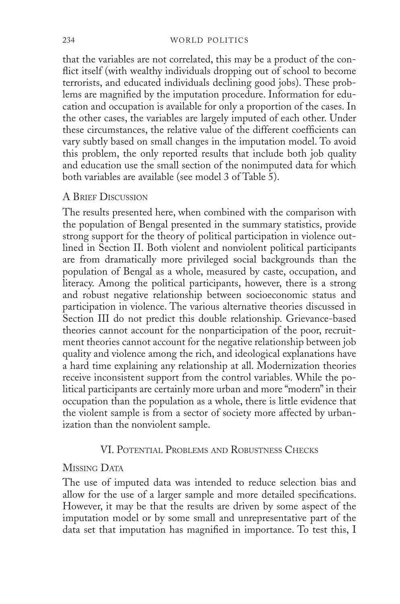that the variables are not correlated, this may be a product of the conflict itself (with wealthy individuals dropping out of school to become terrorists, and educated individuals declining good jobs). These problems are magnified by the imputation procedure. Information for education and occupation is available for only a proportion of the cases. In the other cases, the variables are largely imputed of each other. Under these circumstances, the relative value of the different coefficients can vary subtly based on small changes in the imputation model. To avoid this problem, the only reported results that include both job quality and education use the small section of the nonimputed data for which both variables are available (see model 3 of Table 5).

# A Brief Discussion

The results presented here, when combined with the comparison with the population of Bengal presented in the summary statistics, provide strong support for the theory of political participation in violence outlined in Section II. Both violent and nonviolent political participants are from dramatically more privileged social backgrounds than the population of Bengal as a whole, measured by caste, occupation, and literacy. Among the political participants, however, there is a strong and robust negative relationship between socioeconomic status and participation in violence. The various alternative theories discussed in Section III do not predict this double relationship. Grievance-based theories cannot account for the nonparticipation of the poor, recruitment theories cannot account for the negative relationship between job quality and violence among the rich, and ideological explanations have a hard time explaining any relationship at all. Modernization theories receive inconsistent support from the control variables. While the political participants are certainly more urban and more "modern" in their occupation than the population as a whole, there is little evidence that the violent sample is from a sector of society more affected by urbanization than the nonviolent sample.

# VI. Potential Problems and Robustness Checks

# MISSING DATA

The use of imputed data was intended to reduce selection bias and allow for the use of a larger sample and more detailed specifications. However, it may be that the results are driven by some aspect of the imputation model or by some small and unrepresentative part of the data set that imputation has magnified in importance. To test this, I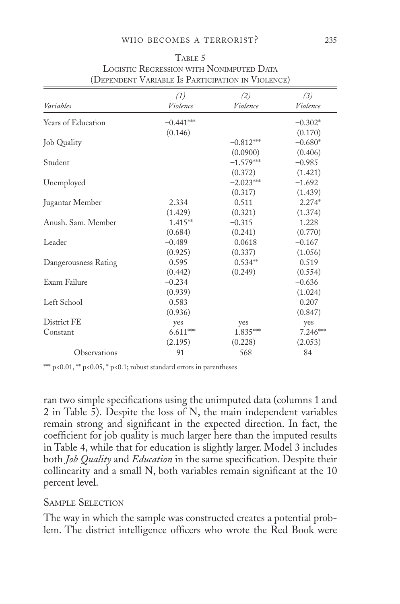|                      | (1)         | (2)         | (3)       |
|----------------------|-------------|-------------|-----------|
| <b>Variables</b>     | Violence    | Violence    | Violence  |
| Years of Education   | $-0.441***$ |             | $-0.302*$ |
|                      | (0.146)     |             | (0.170)   |
| <b>Job Quality</b>   |             | $-0.812***$ | $-0.680*$ |
|                      |             | (0.0900)    | (0.406)   |
| Student              |             | $-1.579***$ | $-0.985$  |
|                      |             | (0.372)     | (1.421)   |
| Unemployed           |             | $-2.023***$ | $-1.692$  |
|                      |             | (0.317)     | (1.439)   |
| Jugantar Member      | 2.334       | 0.511       | $2.274*$  |
|                      | (1.429)     | (0.321)     | (1.374)   |
| Anush, Sam, Member   | $1.415**$   | $-0.315$    | 1.228     |
|                      | (0.684)     | (0.241)     | (0.770)   |
| Leader               | $-0.489$    | 0.0618      | $-0.167$  |
|                      | (0.925)     | (0.337)     | (1.056)   |
| Dangerousness Rating | 0.595       | $0.534**$   | 0.519     |
|                      | (0.442)     | (0.249)     | (0.554)   |
| Exam Failure         | $-0.234$    |             | $-0.636$  |
|                      | (0.939)     |             | (1.024)   |
| Left School          | 0.583       |             | 0.207     |
|                      | (0.936)     |             | (0.847)   |
| District FE          | yes         | yes         | yes       |
| Constant             | $6.611***$  | 1.835***    | 7.246***  |
|                      | (2.195)     | (0.228)     | (2.053)   |
| Observations         | 91          | 568         | 84        |
|                      |             |             |           |

TABLE 5 Logistic Regression with Nonimputed Data (Dependent Variable Is Participation in Violence)

\*\*\* p<0.01, \*\* p<0.05, \* p<0.1; robust standard errors in parentheses

ran two simple specifications using the unimputed data (columns 1 and 2 in Table  $\bar{5}$ ). Despite the loss of N, the main independent variables remain strong and significant in the expected direction. In fact, the coefficient for job quality is much larger here than the imputed results in Table 4, while that for education is slightly larger. Model 3 includes both *Job Quality* and *Education* in the same specification. Despite their collinearity and a small N, both variables remain significant at the 10 percent level.

#### Sample Selection

The way in which the sample was constructed creates a potential problem. The district intelligence officers who wrote the Red Book were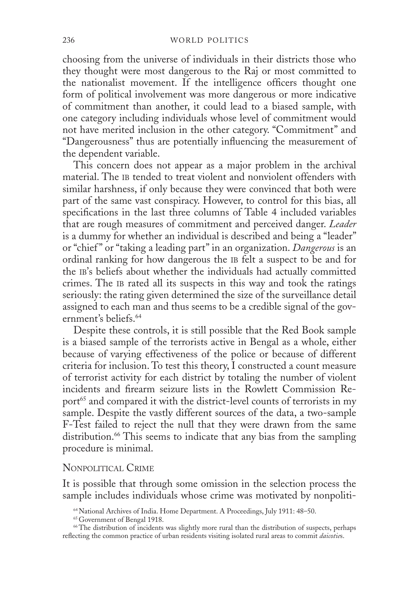choosing from the universe of individuals in their districts those who they thought were most dangerous to the Raj or most committed to the nationalist movement. If the intelligence officers thought one form of political involvement was more dangerous or more indicative of commitment than another, it could lead to a biased sample, with one category including individuals whose level of commitment would not have merited inclusion in the other category. "Commitment" and "Dangerousness" thus are potentially influencing the measurement of the dependent variable.

This concern does not appear as a major problem in the archival material. The IB tended to treat violent and nonviolent offenders with similar harshness, if only because they were convinced that both were part of the same vast conspiracy. However, to control for this bias, all specifications in the last three columns of Table 4 included variables that are rough measures of commitment and perceived danger. *Leader* is a dummy for whether an individual is described and being a "leader" or "chief " or "taking a leading part" in an organization. *Dangerous* is an ordinal ranking for how dangerous the IB felt a suspect to be and for the ib's beliefs about whether the individuals had actually committed crimes. The IB rated all its suspects in this way and took the ratings seriously: the rating given determined the size of the surveillance detail assigned to each man and thus seems to be a credible signal of the government's beliefs.<sup>64</sup>

Despite these controls, it is still possible that the Red Book sample is a biased sample of the terrorists active in Bengal as a whole, either because of varying effectiveness of the police or because of different criteria for inclusion. To test this theory,  $\overline{I}$  constructed a count measure of terrorist activity for each district by totaling the number of violent incidents and firearm seizure lists in the Rowlett Commission Report<sup>65</sup> and compared it with the district-level counts of terrorists in my sample. Despite the vastly different sources of the data, a two-sample F-Test failed to reject the null that they were drawn from the same distribution.<sup>66</sup> This seems to indicate that any bias from the sampling procedure is minimal.

#### Nonpolitical Crime

It is possible that through some omission in the selection process the sample includes individuals whose crime was motivated by nonpoliti-

<sup>64</sup> National Archives of India. Home Department. A Proceedings, July 1911: 48–50.

<sup>&</sup>lt;sup>65</sup> Government of Bengal 1918.

<sup>&</sup>lt;sup>66</sup> The distribution of incidents was slightly more rural than the distribution of suspects, perhaps reflecting the common practice of urban residents visiting isolated rural areas to commit *daicotie*s.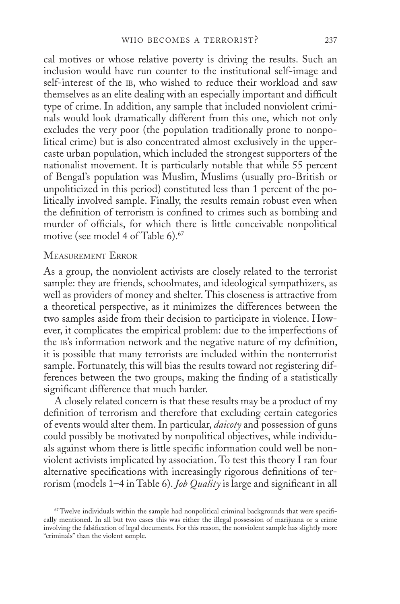cal motives or whose relative poverty is driving the results. Such an inclusion would have run counter to the institutional self-image and self-interest of the IB, who wished to reduce their workload and saw themselves as an elite dealing with an especially important and difficult type of crime. In addition, any sample that included nonviolent criminals would look dramatically different from this one, which not only excludes the very poor (the population traditionally prone to nonpolitical crime) but is also concentrated almost exclusively in the uppercaste urban population, which included the strongest supporters of the nationalist movement. It is particularly notable that while 55 percent of Bengal's population was Muslim, Muslims (usually pro-British or unpoliticized in this period) constituted less than 1 percent of the politically involved sample. Finally, the results remain robust even when the definition of terrorism is confined to crimes such as bombing and murder of officials, for which there is little conceivable nonpolitical motive (see model 4 of Table 6).<sup>67</sup>

## Measurement Error

As a group, the nonviolent activists are closely related to the terrorist sample: they are friends, schoolmates, and ideological sympathizers, as well as providers of money and shelter. This closeness is attractive from a theoretical perspective, as it minimizes the differences between the two samples aside from their decision to participate in violence. However, it complicates the empirical problem: due to the imperfections of the ib's information network and the negative nature of my definition, it is possible that many terrorists are included within the nonterrorist sample. Fortunately, this will bias the results toward not registering differences between the two groups, making the finding of a statistically significant difference that much harder.

 A closely related concern is that these results may be a product of my definition of terrorism and therefore that excluding certain categories of events would alter them. In particular, *daicoty* and possession of guns could possibly be motivated by nonpolitical objectives, while individuals against whom there is little specific information could well be nonviolent activists implicated by association. To test this theory I ran four alternative specifications with increasingly rigorous definitions of terrorism (models 1–4 in Table 6). *Job Quality* is large and significant in all

<sup>67</sup> Twelve individuals within the sample had nonpolitical criminal backgrounds that were specifically mentioned. In all but two cases this was either the illegal possession of marijuana or a crime involving the falsification of legal documents. For this reason, the nonviolent sample has slightly more "criminals" than the violent sample.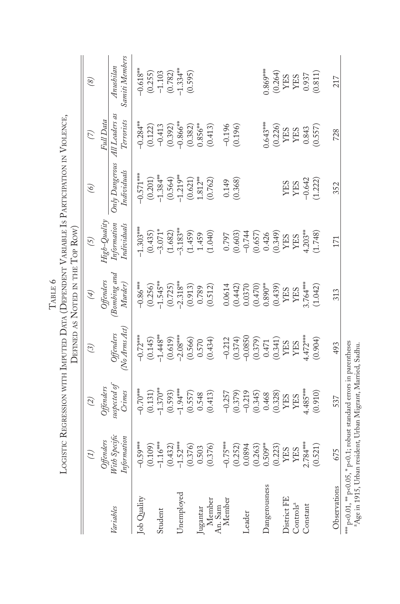|                                                                       |                                           |                                                                         |                           | DEFINED AS NOTED IN THE TOP ROW<br>TABLE 6 |                            | LOGISTIC REGRESSION WITH IMPUTED DATA (DEPENDENT VARIABLE IS PARTICIPATION IN VIOLENCE, |                                                   |                                  |
|-----------------------------------------------------------------------|-------------------------------------------|-------------------------------------------------------------------------|---------------------------|--------------------------------------------|----------------------------|-----------------------------------------------------------------------------------------|---------------------------------------------------|----------------------------------|
|                                                                       | (I)                                       | $\widehat{\varrho}$                                                     | 3)                        | E)                                         | $\widetilde{S}$            | $\odot$                                                                                 | C)                                                | $(\%)$                           |
|                                                                       |                                           | Offenders                                                               |                           | Offenders                                  | High-Quality               |                                                                                         | Full Data                                         |                                  |
| Variables                                                             | Offenders<br>With Specific<br>Information | suspected of<br>Crimes                                                  | No Arms Act,<br>Offenders | (Bombing and<br>Murder)                    | Information<br>Individuals | Only Dangerous<br>Individuals                                                           | All Leaders as<br>Terrorists                      | Samiti Members<br>Anushilan      |
| Job Quality                                                           | $0.59***$                                 | $-0.70***$                                                              | $-0.72***$                | $-0.86***$                                 | $-1.303***$                | $-0.571***$                                                                             | $-0.284***$                                       | $-0.618***$                      |
|                                                                       | (0.109)                                   |                                                                         |                           | $(0.256)$<br>-1.545**                      |                            |                                                                                         | $(0.122)$<br>$-0.413$<br>$(0.392)$<br>$-0.866$ ** | $(0.255)$<br>-1.103              |
| Student                                                               | $-1.16***$                                | $(0.131)$<br>-1.370**                                                   | $(0.145)$<br>-1.448**     |                                            | $(0.435)$<br>-3.071*       | $(0.201)$<br>-1.384**                                                                   |                                                   |                                  |
|                                                                       | (0.432)                                   | $(0.593)$<br>-1.94***                                                   | (0.619)                   | (0.725)                                    | $(1.682)$<br>-3.183**      |                                                                                         |                                                   | $(0.782)$<br>-1.334**<br>(0.595) |
| Unemployed                                                            | $-1.52***$                                |                                                                         | $-2.08***$                | $-2.318***$                                |                            | $(0.564)$<br>-1.219**                                                                   |                                                   |                                  |
|                                                                       | 0.376)                                    | (0.557)                                                                 | (0.566)                   | (0.913)                                    | (1.459)                    | (0.621)                                                                                 | (0.382)                                           |                                  |
| Jugantar                                                              | 0.503                                     | 0.548                                                                   | 0.570                     |                                            |                            | $1.812***$                                                                              | $0.856***$                                        |                                  |
| Member<br>An. Sam<br>Member                                           | 0.376)                                    | (0.413)                                                                 | (0.434)                   | $\frac{0.789}{(0.512)}$                    | $1.459$<br>(1.040)         | (0.762)                                                                                 | (0.413)                                           |                                  |
|                                                                       |                                           |                                                                         |                           |                                            |                            |                                                                                         |                                                   |                                  |
|                                                                       | $0.75***$                                 |                                                                         |                           | 0.0614                                     | 0.797                      |                                                                                         | $-0.196$                                          |                                  |
|                                                                       | 0.252)                                    | $-0.257$<br>(0.379)                                                     | $-0.212$<br>(0.374)       |                                            | (0.603)                    | $(0.149)$<br>$(0.368)$                                                                  | (0.196)                                           |                                  |
| Leader                                                                | 1.0894                                    |                                                                         | $-0.0850$                 | $(0.442)$<br>$0.0370$                      | $-0.744$                   |                                                                                         |                                                   |                                  |
|                                                                       | 0.263)                                    | $-0.219$<br>(0.345)                                                     | $(0.379)$ $(0.471)$       | $(0.470)$<br>0.890**                       | (0.657)                    |                                                                                         |                                                   |                                  |
| Dangerousness                                                         | $0.509***$                                | 0.468                                                                   |                           |                                            | 0.426                      |                                                                                         | $0.643***$                                        | $0.869***$                       |
|                                                                       | (0.223)                                   | (0.328)                                                                 | (0.341)                   | (0.439)                                    | (0.349)                    |                                                                                         | (0.226)                                           | (0.264)                          |
| District FE                                                           | YES                                       | YES                                                                     | YES<br>YES                | YES<br>YES                                 | <b>YES</b><br>YES          | YES                                                                                     | YES<br>YES                                        | YES<br>YES                       |
| Controls <sup>a</sup>                                                 | YES                                       | YES                                                                     |                           |                                            |                            | YES                                                                                     |                                                   |                                  |
| Constant                                                              | .784***<br>$\sim$                         | $4.485***$                                                              | $1.472***$                | $3.764***$                                 | $4.203***$                 | $-0.642$                                                                                | 0.843                                             | 0.937                            |
|                                                                       | (0.521)                                   | (0.910)                                                                 | (0.904)                   | (1.042)                                    | (1.748)                    | (1.222)                                                                                 | (0.557)                                           | (0.811)                          |
| Observations                                                          | 675                                       | 537                                                                     | 493                       | 313                                        | 171                        | 352                                                                                     | 728                                               | 217                              |
| *** p<0.01, ** p<0.05, * p<0.1; robust standard errors in parentheses |                                           | <sup>a</sup> Age in 1915, Urban resident, Urban Migrant, Married, Sadhu |                           |                                            |                            |                                                                                         |                                                   |                                  |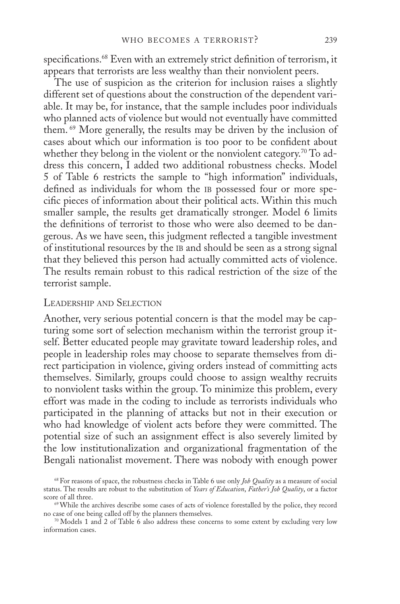specifications.<sup>68</sup> Even with an extremely strict definition of terrorism, it appears that terrorists are less wealthy than their nonviolent peers.

The use of suspicion as the criterion for inclusion raises a slightly different set of questions about the construction of the dependent variable. It may be, for instance, that the sample includes poor individuals who planned acts of violence but would not eventually have committed them. 69 More generally, the results may be driven by the inclusion of cases about which our information is too poor to be confident about whether they belong in the violent or the nonviolent category.<sup>70</sup> To address this concern, I added two additional robustness checks. Model 5 of Table 6 restricts the sample to "high information" individuals, defined as individuals for whom the ib possessed four or more specific pieces of information about their political acts. Within this much smaller sample, the results get dramatically stronger. Model 6 limits the definitions of terrorist to those who were also deemed to be dangerous. As we have seen, this judgment reflected a tangible investment of institutional resources by the ib and should be seen as a strong signal that they believed this person had actually committed acts of violence. The results remain robust to this radical restriction of the size of the terrorist sample.

#### Leadership and Selection

Another, very serious potential concern is that the model may be capturing some sort of selection mechanism within the terrorist group itself. Better educated people may gravitate toward leadership roles, and people in leadership roles may choose to separate themselves from direct participation in violence, giving orders instead of committing acts themselves. Similarly, groups could choose to assign wealthy recruits to nonviolent tasks within the group. To minimize this problem, every effort was made in the coding to include as terrorists individuals who participated in the planning of attacks but not in their execution or who had knowledge of violent acts before they were committed. The potential size of such an assignment effect is also severely limited by the low institutionalization and organizational fragmentation of the Bengali nationalist movement. There was nobody with enough power

<sup>68</sup> For reasons of space, the robustness checks in Table 6 use only *Job Quality* as a measure of social status. The results are robust to the substitution of *Years of Education*, *Father's Job Quality*, or a factor score of all three.

<sup>69</sup> While the archives describe some cases of acts of violence forestalled by the police, they record no case of one being called off by the planners themselves.

 $70$  Models 1 and 2 of Table 6 also address these concerns to some extent by excluding very low information cases.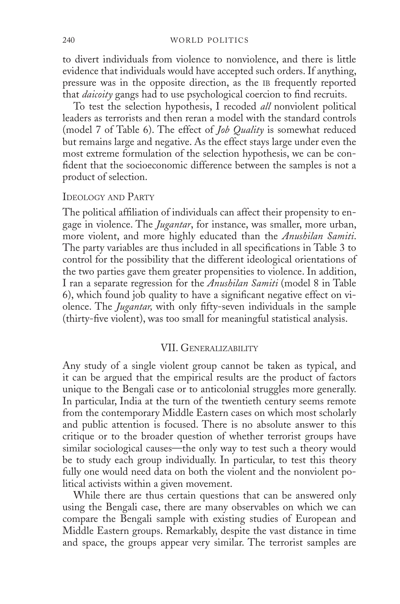to divert individuals from violence to nonviolence, and there is little evidence that individuals would have accepted such orders. If anything, pressure was in the opposite direction, as the ib frequently reported that *daicoity* gangs had to use psychological coercion to find recruits.

To test the selection hypothesis, I recoded *all* nonviolent political leaders as terrorists and then reran a model with the standard controls (model 7 of Table 6). The effect of *Job Quality* is somewhat reduced but remains large and negative. As the effect stays large under even the most extreme formulation of the selection hypothesis, we can be confident that the socioeconomic difference between the samples is not a product of selection.

## Ideology and Party

The political affiliation of individuals can affect their propensity to engage in violence. The *Jugantar*, for instance, was smaller, more urban, more violent, and more highly educated than the *Anushilan Samiti*. The party variables are thus included in all specifications in Table 3 to control for the possibility that the different ideological orientations of the two parties gave them greater propensities to violence. In addition, I ran a separate regression for the *Anushilan Samiti* (model 8 in Table 6), which found job quality to have a significant negative effect on violence. The *Jugantar,* with only fifty-seven individuals in the sample (thirty-five violent), was too small for meaningful statistical analysis.

## VII. Generalizability

Any study of a single violent group cannot be taken as typical, and it can be argued that the empirical results are the product of factors unique to the Bengali case or to anticolonial struggles more generally. In particular, India at the turn of the twentieth century seems remote from the contemporary Middle Eastern cases on which most scholarly and public attention is focused. There is no absolute answer to this critique or to the broader question of whether terrorist groups have similar sociological causes—the only way to test such a theory would be to study each group individually. In particular, to test this theory fully one would need data on both the violent and the nonviolent political activists within a given movement.

While there are thus certain questions that can be answered only using the Bengali case, there are many observables on which we can compare the Bengali sample with existing studies of European and Middle Eastern groups. Remarkably, despite the vast distance in time and space, the groups appear very similar. The terrorist samples are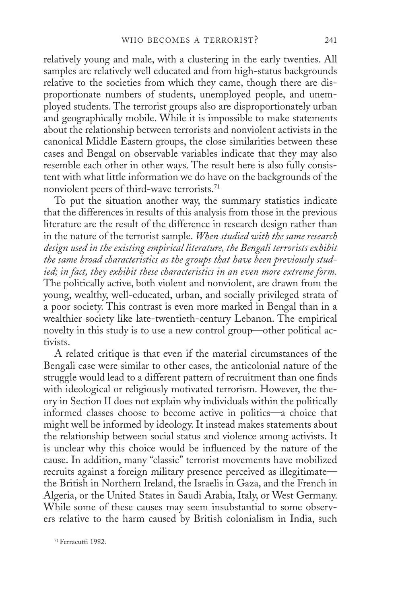relatively young and male, with a clustering in the early twenties. All samples are relatively well educated and from high-status backgrounds relative to the societies from which they came, though there are disproportionate numbers of students, unemployed people, and unemployed students. The terrorist groups also are disproportionately urban and geographically mobile. While it is impossible to make statements about the relationship between terrorists and nonviolent activists in the canonical Middle Eastern groups, the close similarities between these cases and Bengal on observable variables indicate that they may also resemble each other in other ways. The result here is also fully consistent with what little information we do have on the backgrounds of the nonviolent peers of third-wave terrorists.<sup>71</sup>

To put the situation another way, the summary statistics indicate that the differences in results of this analysis from those in the previous literature are the result of the difference in research design rather than in the nature of the terrorist sample. *When studied with the same research design used in the existing empirical literature, the Bengali terrorists exhibit the same broad characteristics as the groups that have been previously studied; in fact, they exhibit these characteristics in an even more extreme form.* The politically active, both violent and nonviolent, are drawn from the young, wealthy, well-educated, urban, and socially privileged strata of a poor society. This contrast is even more marked in Bengal than in a wealthier society like late-twentieth-century Lebanon. The empirical novelty in this study is to use a new control group—other political activists.

A related critique is that even if the material circumstances of the Bengali case were similar to other cases, the anticolonial nature of the struggle would lead to a different pattern of recruitment than one finds with ideological or religiously motivated terrorism. However, the theory in Section II does not explain why individuals within the politically informed classes choose to become active in politics—a choice that might well be informed by ideology. It instead makes statements about the relationship between social status and violence among activists. It is unclear why this choice would be influenced by the nature of the cause. In addition, many "classic" terrorist movements have mobilized recruits against a foreign military presence perceived as illegitimate the British in Northern Ireland, the Israelis in Gaza, and the French in Algeria, or the United States in Saudi Arabia, Italy, or West Germany. While some of these causes may seem insubstantial to some observers relative to the harm caused by British colonialism in India, such

<sup>71</sup> Ferracutti 1982.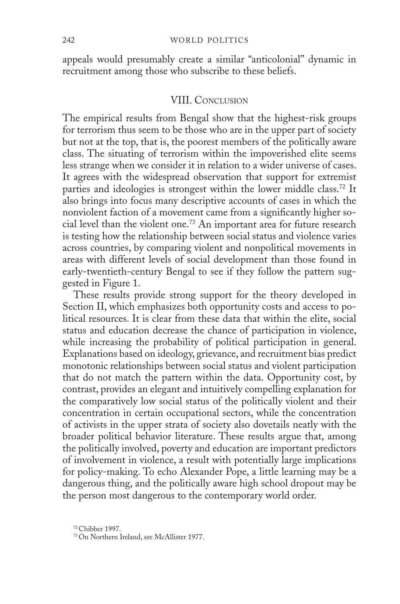appeals would presumably create a similar "anticolonial" dynamic in recruitment among those who subscribe to these beliefs.

## VIII. Conclusion

The empirical results from Bengal show that the highest-risk groups for terrorism thus seem to be those who are in the upper part of society but not at the top, that is, the poorest members of the politically aware class. The situating of terrorism within the impoverished elite seems less strange when we consider it in relation to a wider universe of cases. It agrees with the widespread observation that support for extremist parties and ideologies is strongest within the lower middle class.72 It also brings into focus many descriptive accounts of cases in which the nonviolent faction of a movement came from a significantly higher social level than the violent one.73 An important area for future research is testing how the relationship between social status and violence varies across countries, by comparing violent and nonpolitical movements in areas with different levels of social development than those found in early-twentieth-century Bengal to see if they follow the pattern suggested in Figure 1.

These results provide strong support for the theory developed in Section II, which emphasizes both opportunity costs and access to political resources. It is clear from these data that within the elite, social status and education decrease the chance of participation in violence, while increasing the probability of political participation in general. Explanations based on ideology, grievance, and recruitment bias predict monotonic relationships between social status and violent participation that do not match the pattern within the data. Opportunity cost, by contrast, provides an elegant and intuitively compelling explanation for the comparatively low social status of the politically violent and their concentration in certain occupational sectors, while the concentration of activists in the upper strata of society also dovetails neatly with the broader political behavior literature. These results argue that, among the politically involved, poverty and education are important predictors of involvement in violence, a result with potentially large implications for policy-making. To echo Alexander Pope, a little learning may be a dangerous thing, and the politically aware high school dropout may be the person most dangerous to the contemporary world order.

<sup>72</sup> Chibber 1997.

<sup>73</sup> On Northern Ireland, see McAllister 1977.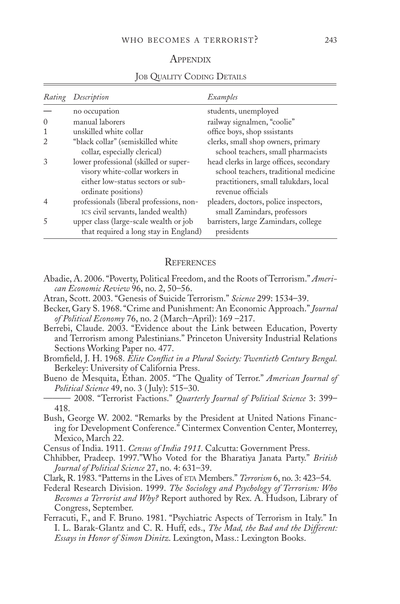#### **APPENDIX**

#### **JOB QUALITY CODING DETAILS**

| Rating         | Description                                                                                                                         | Examples                                                                                                                                       |
|----------------|-------------------------------------------------------------------------------------------------------------------------------------|------------------------------------------------------------------------------------------------------------------------------------------------|
|                | no occupation                                                                                                                       | students, unemployed                                                                                                                           |
| $\Omega$       | manual laborers                                                                                                                     | railway signalmen, "coolie"                                                                                                                    |
| 1              | unskilled white collar                                                                                                              | office boys, shop sssistants                                                                                                                   |
| $\overline{2}$ | "black collar" (semiskilled white<br>collar, especially clerical)                                                                   | clerks, small shop owners, primary<br>school teachers, small pharmacists                                                                       |
| 3              | lower professional (skilled or super-<br>visory white-collar workers in<br>either low-status sectors or sub-<br>ordinate positions) | head clerks in large offices, secondary<br>school teachers, traditional medicine<br>practitioners, small talukdars, local<br>revenue officials |
| $\overline{4}$ | professionals (liberal professions, non-<br>ICS civil servants, landed wealth)                                                      | pleaders, doctors, police inspectors,<br>small Zamindars, professors                                                                           |
|                | upper class (large-scale wealth or job<br>that required a long stay in England)                                                     | barristers, large Zamindars, college<br>presidents                                                                                             |

#### **REFERENCES**

- Abadie, A. 2006. "Poverty, Political Freedom, and the Roots of Terrorism." *American Economic Review* 96, no. 2, 50–56.
- Atran, Scott. 2003. "Genesis of Suicide Terrorism." *Science* 299: 1534–39.
- Becker, Gary S. 1968. "Crime and Punishment: An Economic Approach." *Journal of Political Economy* 76, no. 2 (March–April): 169 –217.
- Berrebi, Claude. 2003. "Evidence about the Link between Education, Poverty and Terrorism among Palestinians." Princeton University Industrial Relations Sections Working Paper no. 477.
- Bromfield, J. H. 1968. *Elite Conflict in a Plural Society: Twentieth Century Bengal.*  Berkeley: University of California Press.
- Bueno de Mesquita, Ethan. 2005. "The Quality of Terror." *American Journal of Political Science* 49, no. 3 ( July): 515–30.
- ——— 2008. "Terrorist Factions." *Quarterly Journal of Political Science* 3: 399– 418.
- Bush, George W. 2002. "Remarks by the President at United Nations Financing for Development Conference." Cintermex Convention Center, Monterrey, Mexico, March 22.
- Census of India. 1911. *Census of India 1911.* Calcutta: Government Press.
- Chhibber, Pradeep. 1997."Who Voted for the Bharatiya Janata Party." *British Journal of Political Science* 27, no. 4: 631–39.
- Clark, R. 1983. "Patterns in the Lives of eta Members." *Terrorism* 6, no. 3: 423–54.
- Federal Research Division. 1999. *The Sociology and Psychology of Terrorism: Who Becomes a Terrorist and Why?* Report authored by Rex. A. Hudson*,* Library of Congress, September.
- Ferracuti, F., and F. Bruno. 1981. "Psychiatric Aspects of Terrorism in Italy." In I. L. Barak-Glantz and C. R. Huff, eds., *The Mad, the Bad and the Different: Essays in Honor of Simon Dinitz*. Lexington, Mass.: Lexington Books.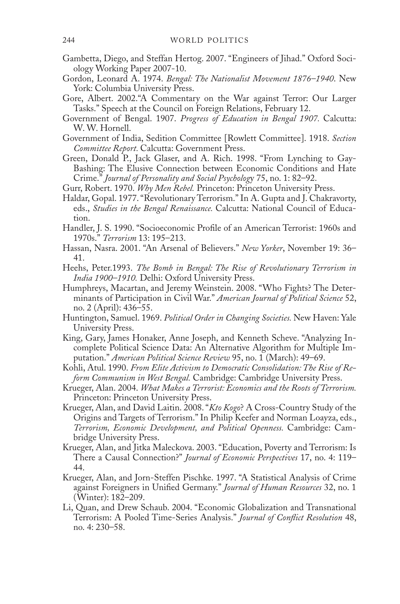- Gambetta, Diego, and Steffan Hertog. 2007. "Engineers of Jihad." Oxford Sociology Working Paper 2007-10.
- Gordon, Leonard A. 1974. *Bengal: The Nationalist Movement 1876–1940*. New York: Columbia University Press.
- Gore, Albert. 2002."A Commentary on the War against Terror: Our Larger Tasks." Speech at the Council on Foreign Relations, February 12.
- Government of Bengal. 1907. *Progress of Education in Bengal 1907.* Calcutta: W. W. Hornell.
- Government of India, Sedition Committee [Rowlett Committee]. 1918. *Section Committee Report.* Calcutta: Government Press.
- Green, Donald P., Jack Glaser, and A. Rich. 1998. "From Lynching to Gay-Bashing: The Elusive Connection between Economic Conditions and Hate Crime." *Journal of Personality and Social Psycholog*y 75, no. 1: 82–92.
- Gurr, Robert. 1970. *Why Men Rebel.* Princeton: Princeton University Press.
- Haldar, Gopal. 1977. "Revolutionary Terrorism." In A. Gupta and J. Chakravorty, eds., *Studies in the Bengal Renaissance.* Calcutta: National Council of Education.
- Handler, J. S. 1990. "Socioeconomic Profile of an American Terrorist: 1960s and 1970s." *Terrorism* 13: 195–213.
- Hassan, Nasra. 2001. "An Arsenal of Believers." *New Yorker*, November 19: 36– 41.
- Heehs, Peter.1993. *The Bomb in Bengal: The Rise of Revolutionary Terrorism in India 1900–1910.* Delhi: Oxford University Press.
- Humphreys, Macartan, and Jeremy Weinstein. 2008. "Who Fights? The Determinants of Participation in Civil War." *American Journal of Political Science* 52, no. 2 (April): 436–55.
- Huntington, Samuel. 1969. *Political Order in Changing Societies.* New Haven: Yale University Press.
- King, Gary, James Honaker, Anne Joseph, and Kenneth Scheve. "Analyzing Incomplete Political Science Data: An Alternative Algorithm for Multiple Imputation." *American Political Science Review* 95, no. 1 (March): 49–69.
- Kohli, Atul. 1990. *From Elite Activism to Democratic Consolidation: The Rise of Reform Communism in West Bengal.* Cambridge: Cambridge University Press.
- Krueger, Alan. 2004. *What Makes a Terrorist: Economics and the Roots of Terrorism.*  Princeton: Princeton University Press.
- Krueger, Alan, and David Laitin. 2008. "*Kto Kogo*? A Cross-Country Study of the Origins and Targets of Terrorism." In Philip Keefer and Norman Loayza, eds., *Terrorism, Economic Development, and Political Openness.* Cambridge: Cambridge University Press.
- Krueger, Alan, and Jitka Maleckova. 2003. ''Education, Poverty and Terrorism: Is There a Causal Connection?'' *Journal of Economic Perspectives* 17, no. 4: 119– 44.
- Krueger, Alan, and Jorn-Steffen Pischke. 1997. "A Statistical Analysis of Crime against Foreigners in Unified Germany." *Journal of Human Resources* 32, no. 1 (Winter): 182–209.
- Li, Quan, and Drew Schaub. 2004. "Economic Globalization and Transnational Terrorism: A Pooled Time-Series Analysis." *Journal of Conflict Resolution* 48, no. 4: 230–58.